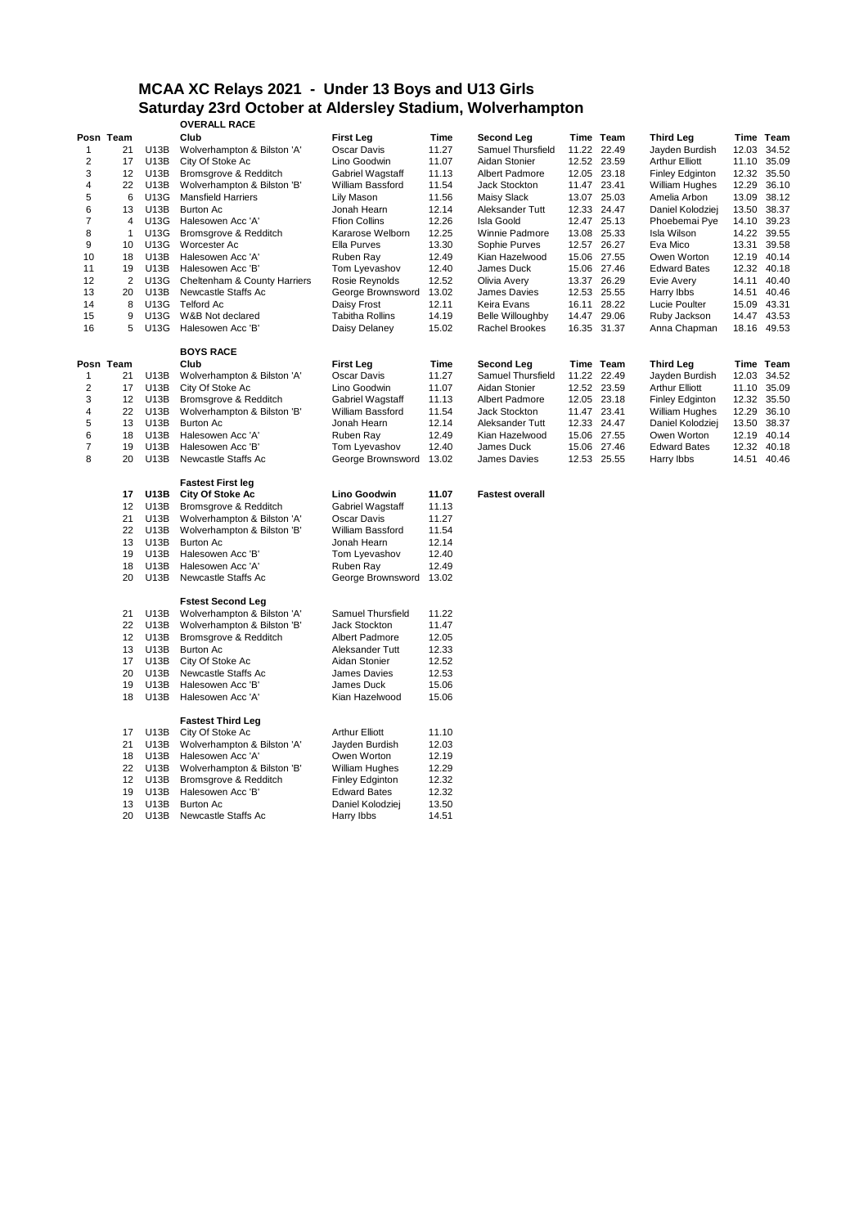# **MCAA XC Relays 2021 - Under 13 Boys and U13 Girls Saturday 23rd October at Aldersley Stadium, Wolverhampton**

|                |                   |             | <b>OVERALL RACE</b>                          |                         |       |                         |             |                        |             |           |
|----------------|-------------------|-------------|----------------------------------------------|-------------------------|-------|-------------------------|-------------|------------------------|-------------|-----------|
|                | Posn Team         |             | Club                                         | <b>First Leg</b>        | Time  | <b>Second Leg</b>       | Time Team   | <b>Third Leg</b>       |             | Time Team |
| $\mathbf{1}$   | 21                | U13B        | Wolverhampton & Bilston 'A'                  | Oscar Davis             | 11.27 | Samuel Thursfield       | 11.22 22.49 | Jayden Burdish         | 12.03 34.52 |           |
| 2              | 17                | U13B        | City Of Stoke Ac                             | Lino Goodwin            | 11.07 | Aidan Stonier           | 12.52 23.59 | <b>Arthur Elliott</b>  | 11.10 35.09 |           |
| 3              | 12                | U13B        | Bromsgrove & Redditch                        | Gabriel Wagstaff        | 11.13 | <b>Albert Padmore</b>   | 12.05 23.18 | <b>Finley Edginton</b> | 12.32 35.50 |           |
| 4              | 22                | U13B        | Wolverhampton & Bilston 'B'                  | William Bassford        | 11.54 | Jack Stockton           | 11.47 23.41 | <b>William Hughes</b>  | 12.29 36.10 |           |
| 5              | 6                 | <b>U13G</b> | <b>Mansfield Harriers</b>                    | Lily Mason              | 11.56 | Maisy Slack             | 13.07 25.03 | Amelia Arbon           | 13.09       | 38.12     |
| 6              | 13                | U13B        | <b>Burton Ac</b>                             | Jonah Hearn             | 12.14 | Aleksander Tutt         | 12.33 24.47 | Daniel Kolodziej       | 13.50 38.37 |           |
| $\overline{7}$ | $\overline{4}$    | U13G        | Halesowen Acc 'A'                            | <b>Ffion Collins</b>    | 12.26 | <b>Isla Goold</b>       | 12.47 25.13 | Phoebemai Pye          | 14.10 39.23 |           |
| 8              | $\mathbf{1}$      | U13G        | Bromsgrove & Redditch                        | Kararose Welborn        | 12.25 | Winnie Padmore          | 13.08 25.33 | Isla Wilson            | 14.22 39.55 |           |
| 9              | 10                | <b>U13G</b> | Worcester Ac                                 | Ella Purves             | 13.30 | Sophie Purves           | 12.57 26.27 | Eva Mico               | 13.31 39.58 |           |
| 10             | 18                | U13B        | Halesowen Acc 'A'                            | Ruben Ray               | 12.49 | Kian Hazelwood          | 15.06 27.55 | Owen Worton            | 12.19 40.14 |           |
| 11             | 19                | U13B        | Halesowen Acc 'B'                            | Tom Lyevashov           | 12.40 | James Duck              | 15.06 27.46 | <b>Edward Bates</b>    | 12.32 40.18 |           |
| 12             | $\overline{c}$    | U13G        | Cheltenham & County Harriers                 | Rosie Reynolds          | 12.52 | Olivia Avery            | 13.37 26.29 | Evie Avery             | 14.11 40.40 |           |
| 13             | 20                | <b>U13B</b> | Newcastle Staffs Ac                          | George Brownsword       | 13.02 | James Davies            | 12.53 25.55 | Harry Ibbs             | 14.51 40.46 |           |
| 14             | 8                 | U13G        | <b>Telford Ac</b>                            | Daisy Frost             | 12.11 | Keira Evans             | 16.11 28.22 | Lucie Poulter          | 15.09 43.31 |           |
| 15             | 9                 | U13G        | W&B Not declared                             | <b>Tabitha Rollins</b>  | 14.19 | <b>Belle Willoughby</b> | 14.47 29.06 | Ruby Jackson           | 14.47 43.53 |           |
| 16             | 5                 | U13G        | Halesowen Acc 'B'                            | Daisy Delaney           | 15.02 | <b>Rachel Brookes</b>   | 16.35 31.37 | Anna Chapman           | 18.16 49.53 |           |
|                |                   |             | <b>BOYS RACE</b>                             |                         |       |                         |             |                        |             |           |
|                | Posn Team         |             | Club                                         | <b>First Leg</b>        | Time  | <b>Second Leg</b>       | Time Team   | <b>Third Leg</b>       |             | Time Team |
| $\mathbf{1}$   | 21                | U13B        | Wolverhampton & Bilston 'A'                  | Oscar Davis             | 11.27 | Samuel Thursfield       | 11.22 22.49 | Jayden Burdish         | 12.03       | 34.52     |
| $\overline{2}$ | 17                | U13B        | City Of Stoke Ac                             | Lino Goodwin            | 11.07 | Aidan Stonier           | 12.52 23.59 | <b>Arthur Elliott</b>  | 11.10 35.09 |           |
| 3              | $12 \overline{ }$ | U13B        | Bromsgrove & Redditch                        | Gabriel Wagstaff        | 11.13 | Albert Padmore          | 12.05 23.18 | <b>Finley Edginton</b> | 12.32 35.50 |           |
| 4              | 22                | U13B        | Wolverhampton & Bilston 'B'                  | William Bassford        | 11.54 | Jack Stockton           | 11.47 23.41 | <b>William Hughes</b>  | 12.29       | 36.10     |
| 5              | 13                | U13B        | Burton Ac                                    | Jonah Hearn             | 12.14 | Aleksander Tutt         | 12.33 24.47 | Daniel Kolodziej       | 13.50 38.37 |           |
| 6              | 18                | U13B        | Halesowen Acc 'A'                            | Ruben Ray               | 12.49 | Kian Hazelwood          | 15.06 27.55 | Owen Worton            | 12.19 40.14 |           |
| $\overline{7}$ | 19                | <b>U13B</b> | Halesowen Acc 'B'                            | Tom Lyevashov           | 12.40 | James Duck              | 15.06 27.46 | <b>Edward Bates</b>    | 12.32       | 40.18     |
| 8              | 20                | U13B        | Newcastle Staffs Ac                          | George Brownsword       | 13.02 | James Davies            | 12.53 25.55 | Harry Ibbs             | 14.51 40.46 |           |
|                |                   |             | <b>Fastest First leg</b>                     |                         |       |                         |             |                        |             |           |
|                | 17                | U13B        | City Of Stoke Ac                             | Lino Goodwin            | 11.07 | <b>Fastest overall</b>  |             |                        |             |           |
|                | 12                | U13B        | Bromsgrove & Redditch                        | Gabriel Wagstaff        | 11.13 |                         |             |                        |             |           |
|                | 21                | U13B        | Wolverhampton & Bilston 'A'                  | <b>Oscar Davis</b>      | 11.27 |                         |             |                        |             |           |
|                | 22                | U13B        | Wolverhampton & Bilston 'B'                  | William Bassford        | 11.54 |                         |             |                        |             |           |
|                | 13                | U13B        | <b>Burton Ac</b>                             | Jonah Hearn             | 12.14 |                         |             |                        |             |           |
|                | 19                | <b>U13B</b> | Halesowen Acc 'B'                            | Tom Lyevashov           | 12.40 |                         |             |                        |             |           |
|                | 18                | U13B        | Halesowen Acc 'A'                            | Ruben Ray               | 12.49 |                         |             |                        |             |           |
|                | 20                | U13B        | Newcastle Staffs Ac                          | George Brownsword 13.02 |       |                         |             |                        |             |           |
|                |                   |             | <b>Fstest Second Leg</b>                     |                         |       |                         |             |                        |             |           |
|                | 21                | U13B        | Wolverhampton & Bilston 'A'                  | Samuel Thursfield       | 11.22 |                         |             |                        |             |           |
|                | 22                | U13B        | Wolverhampton & Bilston 'B'                  | <b>Jack Stockton</b>    | 11.47 |                         |             |                        |             |           |
|                | 12                | U13B        | Bromsgrove & Redditch                        | <b>Albert Padmore</b>   | 12.05 |                         |             |                        |             |           |
|                | 13                | U13B        | <b>Burton Ac</b>                             | Aleksander Tutt         | 12.33 |                         |             |                        |             |           |
|                | 17                | <b>U13B</b> | City Of Stoke Ac                             | Aidan Stonier           | 12.52 |                         |             |                        |             |           |
|                | 20                | U13B        | Newcastle Staffs Ac                          | James Davies            | 12.53 |                         |             |                        |             |           |
|                | 19                | U13B        | Halesowen Acc 'B'                            | James Duck              | 15.06 |                         |             |                        |             |           |
|                | 18                | U13B        | Halesowen Acc 'A'                            | Kian Hazelwood          | 15.06 |                         |             |                        |             |           |
|                |                   |             |                                              |                         |       |                         |             |                        |             |           |
|                | 17                | U13B        | <b>Fastest Third Leg</b><br>City Of Stoke Ac | <b>Arthur Elliott</b>   | 11.10 |                         |             |                        |             |           |
|                | 21                | U13B        | Wolverhampton & Bilston 'A'                  | Jayden Burdish          | 12.03 |                         |             |                        |             |           |
|                | 18                | U13B        | Halesowen Acc 'A'                            | Owen Worton             | 12.19 |                         |             |                        |             |           |
|                | 22                | U13B        | Wolverhampton & Bilston 'B'                  | <b>William Hughes</b>   | 12.29 |                         |             |                        |             |           |
|                | 12                | U13B        | Bromsgrove & Redditch                        | <b>Finley Edginton</b>  | 12.32 |                         |             |                        |             |           |
|                |                   |             |                                              |                         |       |                         |             |                        |             |           |

 U13B Halesowen Acc 'B' Edward Bates 12.32 U13B Burton Ac Daniel Kolodziej 13.50 20 U13B Newcastle Staffs Ac Harry Ibbs 14.51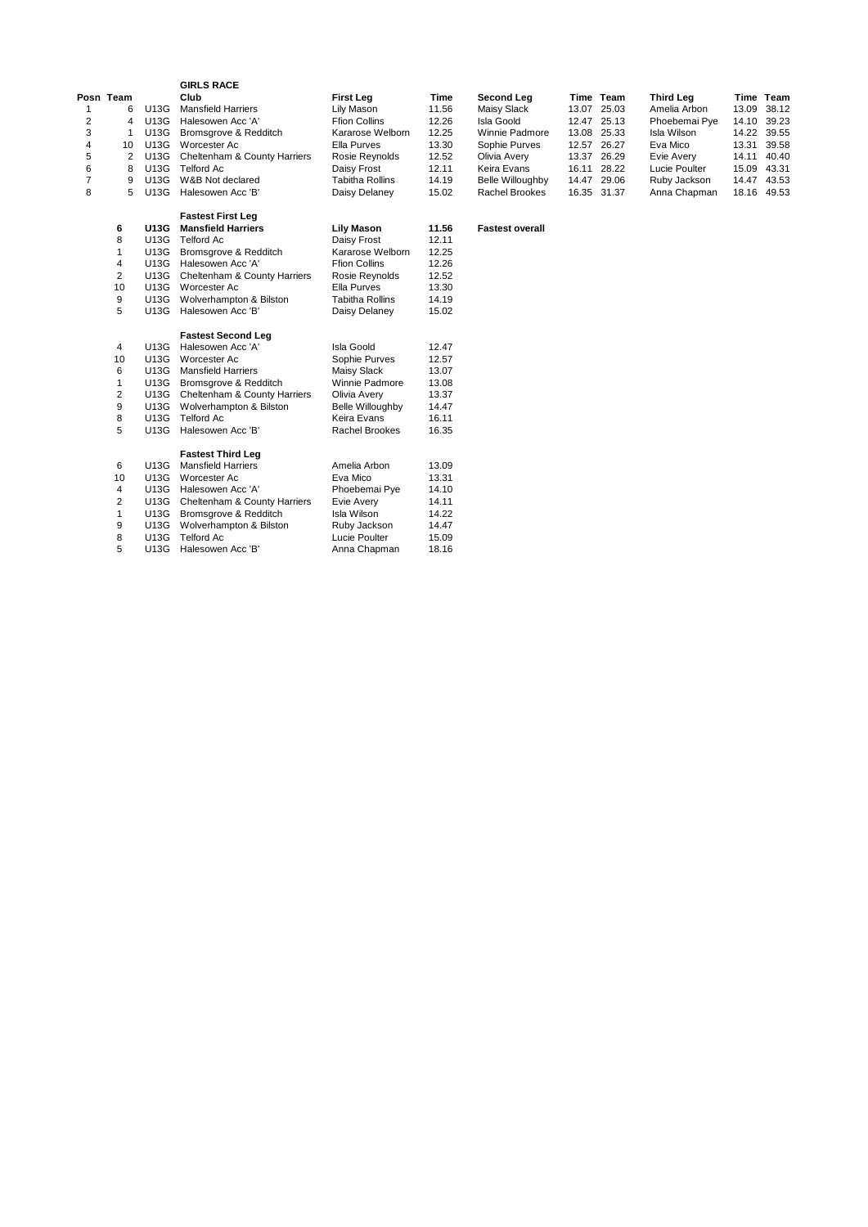|   |           |                                      | <b>GIRLS RACE</b>            |                      |       |                         |       |             |               |       |       |
|---|-----------|--------------------------------------|------------------------------|----------------------|-------|-------------------------|-------|-------------|---------------|-------|-------|
|   | Posn Team |                                      | Club                         | First Leg            | Time  | Second Leg              |       | Time Team   | Third Leg     | Time  | Team  |
|   | 6         | U13G                                 | <b>Mansfield Harriers</b>    | Lily Mason           | 11.56 | Maisy Slack             |       | 13.07 25.03 | Amelia Arbon  | 13.09 | 38.12 |
| 2 | 4         | U13G                                 | Halesowen Acc 'A'            | <b>Ffion Collins</b> | 12.26 | Isla Goold              |       | 12.47 25.13 | Phoebemai Pye | 14.10 | 39.23 |
| 3 |           | U13G                                 | Bromsgrove & Redditch        | Kararose Welborn     | 12.25 | Winnie Padmore          | 13.08 | 25.33       | Isla Wilson   | 14.22 | 39.55 |
| 4 | 10        | U13G                                 | Worcester Ac                 | Ella Purves          | 13.30 | Sophie Purves           |       | 12.57 26.27 | Eva Mico      | 13.31 | 39.58 |
| 5 |           | Cheltenham & County Harriers<br>U13G |                              | Rosie Reynolds       | 12.52 | Olivia Avery            |       | 13.37 26.29 | Evie Avery    | 14.11 | 40.40 |
| 6 | 8         | U13G<br>Telford Ac                   |                              | Daisy Frost          | 12.11 | Keira Evans             | 16.11 | 28.22       | Lucie Poulter | 15.09 | 43.31 |
|   | 9         | U13G                                 | W&B Not declared             | Tabitha Rollins      | 14.19 | <b>Belle Willoughby</b> |       | 14.47 29.06 | Ruby Jackson  | 14.47 | 43.53 |
| 8 | 5         | U13G                                 | Halesowen Acc 'B'            | Daisy Delaney        | 15.02 | Rachel Brookes          |       | 16.35 31.37 | Anna Chapman  | 18.16 | 49.53 |
|   |           |                                      | <b>Fastest First Leg</b>     |                      |       |                         |       |             |               |       |       |
|   | 6         | <b>U13G</b>                          | <b>Mansfield Harriers</b>    | Lily Mason           | 11.56 | <b>Fastest overall</b>  |       |             |               |       |       |
|   | 8         | U13G                                 | Telford Ac                   | Daisy Frost          | 12.11 |                         |       |             |               |       |       |
|   |           | U13G                                 | Bromsgrove & Redditch        | Kararose Welborn     | 12.25 |                         |       |             |               |       |       |
|   | 4         | U13G                                 | Halesowen Acc 'A'            | <b>Ffion Collins</b> | 12.26 |                         |       |             |               |       |       |
|   | 2         | U13G                                 | Cheltenham & County Harriers | Rosie Reynolds       | 12.52 |                         |       |             |               |       |       |
|   | 10        | U13G                                 | Worcester Ac                 | Ella Purves          | 13.30 |                         |       |             |               |       |       |
|   | 9         | U13G                                 | Wolverhampton & Bilston      | Tabitha Rollins      | 14.19 |                         |       |             |               |       |       |
|   | 5         | U13G                                 | Halesowen Acc 'B'            | Daisy Delaney        | 15.02 |                         |       |             |               |       |       |

#### **Fastest Second Leg**

| 4  | U13G | Halesowen Acc 'A'            | Isla Goold              | 12.47 |
|----|------|------------------------------|-------------------------|-------|
| 10 | U13G | Worcester Ac                 | Sophie Purves           | 12.57 |
| 6  | U13G | <b>Mansfield Harriers</b>    | Maisy Slack             | 13.07 |
| 1  | U13G | Bromsgrove & Redditch        | Winnie Padmore          | 13.08 |
| 2  | U13G | Cheltenham & County Harriers | Olivia Avery            | 13.37 |
| 9  | U13G | Wolverhampton & Bilston      | <b>Belle Willoughby</b> | 14.47 |
| 8  | U13G | <b>Telford Ac</b>            | Keira Evans             | 16.11 |
| 5  | U13G | Halesowen Acc 'B'            | Rachel Brookes          | 16.35 |
|    |      | <b>Fastest Third Leg</b>     |                         |       |
| 6  | U13G | <b>Mansfield Harriers</b>    | Amelia Arbon            | 13.09 |
| 10 | U13G | Worcester Ac                 | Eva Mico                | 13.31 |
| 4  | U13G | Halesowen Acc 'A'            | Phoebemai Pye           | 14.10 |
| 2  | U13G | Cheltenham & County Harriers | Evie Avery              | 14.11 |
| 1  | U13G | Bromsgrove & Redditch        | Isla Wilson             | 14.22 |
| 9  | U13G | Wolverhampton & Bilston      | Ruby Jackson            | 14.47 |
| 8  | U13G | <b>Telford Ac</b>            | Lucie Poulter           | 15.09 |
| 5  | U13G | Halesowen Acc 'B'            | Anna Chapman            | 18.16 |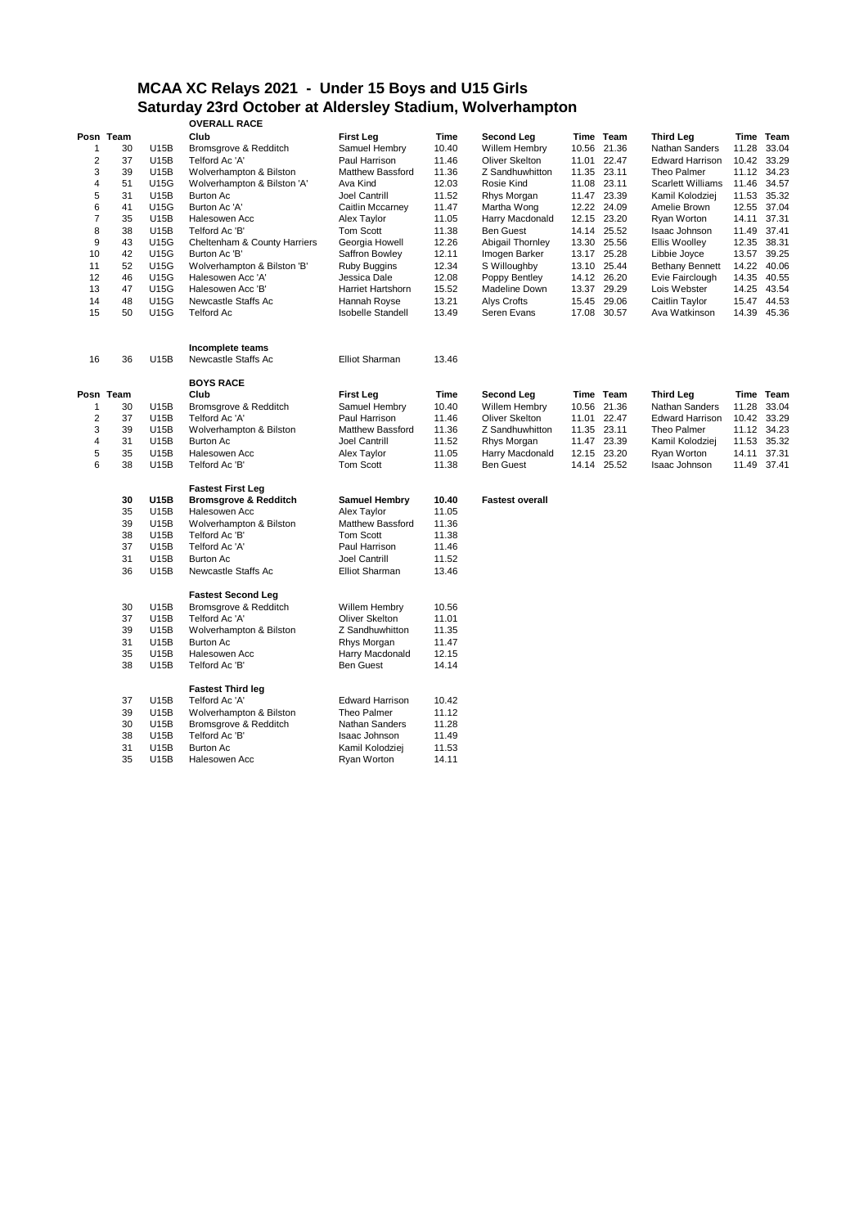## **MCAA XC Relays 2021 - Under 15 Boys and U15 Girls Saturday 23rd October at Aldersley Stadium, Wolverhampton**

|                |           |                    | <b>OVERALL RACE</b>              |                          |       |                        |             |                          |       |             |
|----------------|-----------|--------------------|----------------------------------|--------------------------|-------|------------------------|-------------|--------------------------|-------|-------------|
|                | Posn Team |                    | Club                             | <b>First Leg</b>         | Time  | Second Leg             | Time Team   | <b>Third Leg</b>         |       | Time Team   |
| 1              | 30        | U15B               | Bromsgrove & Redditch            | Samuel Hembry            | 10.40 | Willem Hembry          | 10.56 21.36 | Nathan Sanders           | 11.28 | 33.04       |
| $\overline{2}$ | 37        | <b>U15B</b>        | Telford Ac 'A'                   | Paul Harrison            | 11.46 | <b>Oliver Skelton</b>  | 11.01 22.47 | <b>Edward Harrison</b>   | 10.42 | 33.29       |
| 3              | 39        | U15B               | Wolverhampton & Bilston          | <b>Matthew Bassford</b>  | 11.36 | Z Sandhuwhitton        | 11.35 23.11 | Theo Palmer              |       | 11.12 34.23 |
| 4              | 51        | <b>U15G</b>        | Wolverhampton & Bilston 'A'      | Ava Kind                 | 12.03 | Rosie Kind             | 11.08 23.11 | <b>Scarlett Williams</b> | 11.46 | 34.57       |
| 5              | 31        | U15B               | <b>Burton Ac</b>                 | Joel Cantrill            | 11.52 | Rhys Morgan            | 11.47 23.39 | Kamil Kolodziej          | 11.53 | 35.32       |
| 6              | 41        | <b>U15G</b>        | Burton Ac 'A'                    | Caitlin Mccarney         | 11.47 | Martha Wong            | 12.22 24.09 | Amelie Brown             | 12.55 | 37.04       |
| $\overline{7}$ | 35        | U15B               | Halesowen Acc                    | Alex Taylor              | 11.05 | Harry Macdonald        | 12.15 23.20 | Ryan Worton              | 14.11 | 37.31       |
| 8              | 38        | U15B               | Telford Ac 'B'                   | Tom Scott                | 11.38 | <b>Ben Guest</b>       | 14.14 25.52 | Isaac Johnson            | 11.49 | 37.41       |
| 9              | 43        | <b>U15G</b>        | Cheltenham & County Harriers     | Georgia Howell           | 12.26 | Abigail Thornley       | 13.30 25.56 | <b>Ellis Woolley</b>     | 12.35 | 38.31       |
| 10             | 42        | U15G               | Burton Ac 'B'                    | Saffron Bowley           | 12.11 | Imogen Barker          | 13.17 25.28 | Libbie Joyce             | 13.57 | 39.25       |
| 11             | 52        | <b>U15G</b>        | Wolverhampton & Bilston 'B'      | <b>Ruby Buggins</b>      | 12.34 | S Willoughby           | 13.10 25.44 | <b>Bethany Bennett</b>   | 14.22 | 40.06       |
| 12             | 46        | <b>U15G</b>        | Halesowen Acc 'A'                | Jessica Dale             | 12.08 | Poppy Bentley          | 14.12 26.20 | Evie Fairclough          |       | 14.35 40.55 |
| 13             | 47        | <b>U15G</b>        | Halesowen Acc 'B'                | Harriet Hartshorn        | 15.52 | Madeline Down          | 13.37 29.29 | Lois Webster             | 14.25 | 43.54       |
| 14             | 48        | <b>U15G</b>        | Newcastle Staffs Ac              | Hannah Royse             | 13.21 | Alys Crofts            | 15.45 29.06 | Caitlin Taylor           | 15.47 | 44.53       |
| 15             | 50        | <b>U15G</b>        | <b>Telford Ac</b>                | <b>Isobelle Standell</b> | 13.49 | Seren Evans            | 17.08 30.57 | Ava Watkinson            |       | 14.39 45.36 |
|                |           |                    |                                  |                          |       |                        |             |                          |       |             |
|                |           |                    | Incomplete teams                 |                          |       |                        |             |                          |       |             |
| 16             | 36        | U15B               | Newcastle Staffs Ac              | <b>Elliot Sharman</b>    | 13.46 |                        |             |                          |       |             |
|                |           |                    | <b>BOYS RACE</b>                 |                          |       |                        |             |                          |       |             |
|                | Posn Team |                    | Club                             | <b>First Leg</b>         | Time  | Second Leg             | Time Team   | <b>Third Leg</b>         |       | Time Team   |
| 1              | 30        | U15B               | Bromsgrove & Redditch            | Samuel Hembry            | 10.40 | Willem Hembry          | 10.56 21.36 | Nathan Sanders           | 11.28 | 33.04       |
| 2              |           |                    | Telford Ac 'A'                   | Paul Harrison            | 11.46 | <b>Oliver Skelton</b>  | 11.01 22.47 | <b>Edward Harrison</b>   | 10.42 | 33.29       |
|                | 3<br>39   | 37<br>U15B<br>U15B | Wolverhampton & Bilston          | Matthew Bassford         | 11.36 | Z Sandhuwhitton        | 11.35 23.11 | Theo Palmer              |       | 11.12 34.23 |
|                | 4<br>31   | <b>U15B</b>        | <b>Burton Ac</b>                 | Joel Cantrill            | 11.52 | Rhys Morgan            | 11.47 23.39 | Kamil Kolodziej          | 11.53 | 35.32       |
| 5              | 35        | U15B               | Halesowen Acc                    | Alex Taylor              | 11.05 | Harry Macdonald        | 12.15 23.20 | Ryan Worton              | 14.11 | 37.31       |
| 6              | 38        | U15B               | Telford Ac 'B'                   | Tom Scott                | 11.38 | <b>Ben Guest</b>       | 14.14 25.52 | Isaac Johnson            | 11.49 | 37.41       |
|                |           |                    | <b>Fastest First Leg</b>         |                          |       |                        |             |                          |       |             |
|                | 30        | <b>U15B</b>        | <b>Bromsgrove &amp; Redditch</b> | <b>Samuel Hembry</b>     | 10.40 | <b>Fastest overall</b> |             |                          |       |             |
|                | 35        | U15B               | Halesowen Acc                    | Alex Taylor              | 11.05 |                        |             |                          |       |             |
|                | 39        | U15B               | Wolverhampton & Bilston          | <b>Matthew Bassford</b>  | 11.36 |                        |             |                          |       |             |
|                | 38        | U15B               | Telford Ac 'B'                   | Tom Scott                | 11.38 |                        |             |                          |       |             |
|                | 37        | U15B               | Telford Ac 'A'                   | Paul Harrison            | 11.46 |                        |             |                          |       |             |
|                | 31        | U15B               | <b>Burton Ac</b>                 | Joel Cantrill            | 11.52 |                        |             |                          |       |             |
|                | 36        | U15B               | Newcastle Staffs Ac              | <b>Elliot Sharman</b>    | 13.46 |                        |             |                          |       |             |
|                |           |                    | <b>Fastest Second Leg</b>        |                          |       |                        |             |                          |       |             |
|                | 30        | U15B               | Bromsgrove & Redditch            | Willem Hembry            | 10.56 |                        |             |                          |       |             |
|                | 37        | U15B               | Telford Ac 'A'                   | Oliver Skelton           | 11.01 |                        |             |                          |       |             |
|                | 39        | U15B               | Wolverhampton & Bilston          | Z Sandhuwhitton          | 11.35 |                        |             |                          |       |             |
|                | 31        | U15B               | <b>Burton Ac</b>                 | Rhys Morgan              | 11.47 |                        |             |                          |       |             |
|                | 35        | U15B               | Halesowen Acc                    | Harry Macdonald          | 12.15 |                        |             |                          |       |             |
|                | 38        | <b>U15B</b>        | Telford Ac 'B'                   | <b>Ben Guest</b>         | 14.14 |                        |             |                          |       |             |
|                |           |                    | <b>Fastest Third leg</b>         |                          |       |                        |             |                          |       |             |
|                | 37        | U15B               | Telford Ac 'A'                   | <b>Edward Harrison</b>   | 10.42 |                        |             |                          |       |             |
|                | 39        | U15B               | Wolverhampton & Bilston          | Theo Palmer              | 11.12 |                        |             |                          |       |             |
|                | 30        | U15B               | Bromsgrove & Redditch            | Nathan Sanders           | 11.28 |                        |             |                          |       |             |
|                | 38        | U15B               | Telford Ac 'B'                   | Isaac Johnson            | 11.49 |                        |             |                          |       |             |
|                | 31        | <b>U15B</b>        | <b>Burton Ac</b>                 | Kamil Kolodziej          | 11.53 |                        |             |                          |       |             |
|                | 35        | U15B               | Halesowen Acc                    | Ryan Worton              | 14.11 |                        |             |                          |       |             |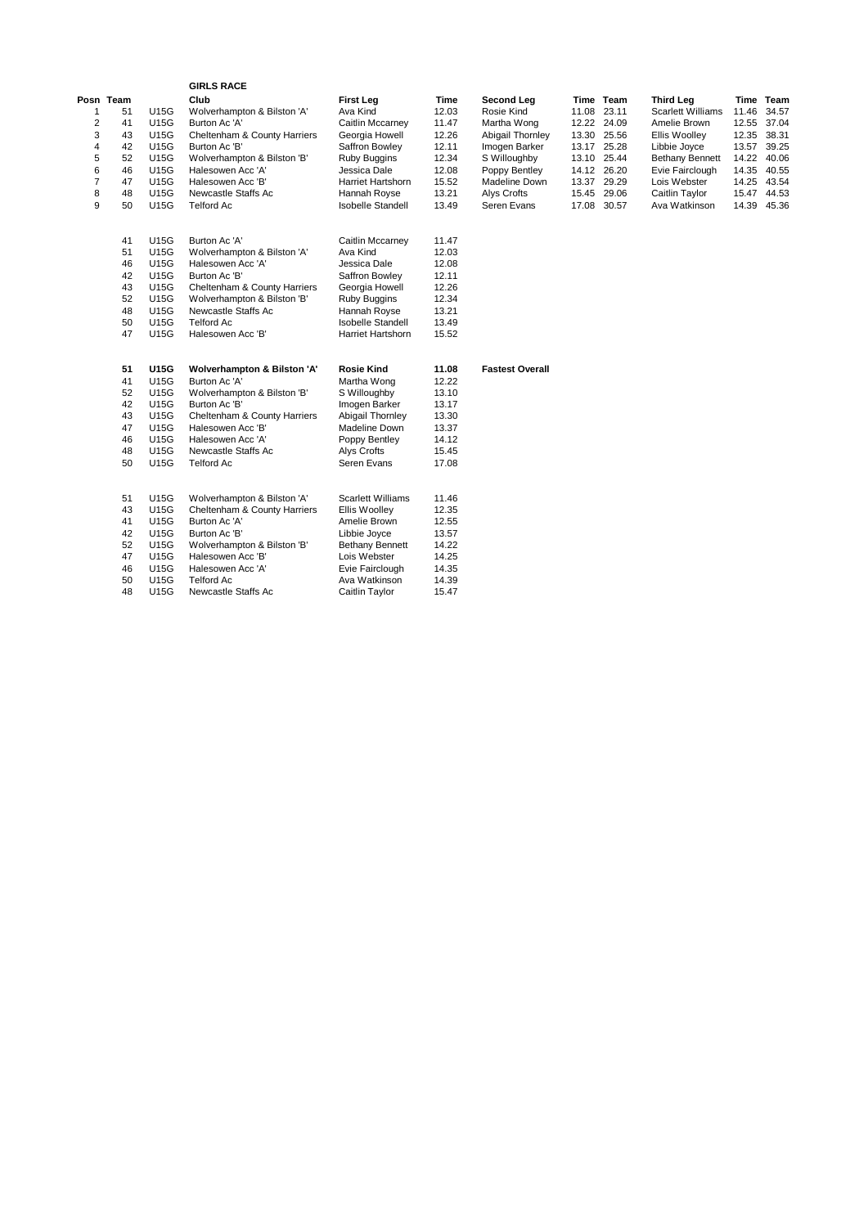|           |    |             | <b>GIRLS RACE</b>            |                          |       |                        |       |             |                          |             |             |
|-----------|----|-------------|------------------------------|--------------------------|-------|------------------------|-------|-------------|--------------------------|-------------|-------------|
| Posn Team |    |             | Club                         | <b>First Leg</b>         | Time  | Second Leg             |       | Time Team   | <b>Third Leg</b>         |             | Time Team   |
| 1         | 51 | U15G        | Wolverhampton & Bilston 'A'  | Ava Kind                 | 12.03 | Rosie Kind             |       | 11.08 23.11 | <b>Scarlett Williams</b> | 11.46       | 34.57       |
| 2         | 41 | U15G        | Burton Ac 'A'                | Caitlin Mccarney         | 11.47 | Martha Wong            |       | 12.22 24.09 | Amelie Brown             | 12.55       | 37.04       |
| 3         | 43 | U15G        | Cheltenham & County Harriers | Georgia Howell           | 12.26 | Abigail Thornley       |       | 13.30 25.56 | <b>Ellis Woolley</b>     | 12.35 38.31 |             |
| 4         | 42 | <b>U15G</b> | Burton Ac 'B'                | Saffron Bowley           | 12.11 | Imogen Barker          |       | 13.17 25.28 | Libbie Joyce             |             | 13.57 39.25 |
| 5         | 52 | <b>U15G</b> | Wolverhampton & Bilston 'B'  | <b>Ruby Buggins</b>      | 12.34 | S Willoughby           | 13.10 | 25.44       | <b>Bethany Bennett</b>   | 14.22       | 40.06       |
| 6         | 46 | U15G        | Halesowen Acc 'A'            | Jessica Dale             | 12.08 | Poppy Bentley          |       | 14.12 26.20 | Evie Fairclough          | 14.35 40.55 |             |
| 7         | 47 | U15G        | Halesowen Acc 'B'            | Harriet Hartshorn        | 15.52 | Madeline Down          |       | 13.37 29.29 | Lois Webster             |             | 14.25 43.54 |
| 8         | 48 | <b>U15G</b> | Newcastle Staffs Ac          | Hannah Royse             | 13.21 | Alys Crofts            |       | 15.45 29.06 | Caitlin Taylor           |             | 15.47 44.53 |
| 9         | 50 | U15G        | <b>Telford Ac</b>            | <b>Isobelle Standell</b> | 13.49 | Seren Evans            |       | 17.08 30.57 | Ava Watkinson            | 14.39       | 45.36       |
|           | 41 | <b>U15G</b> | Burton Ac 'A'                | Caitlin Mccarney         | 11.47 |                        |       |             |                          |             |             |
|           | 51 | U15G        | Wolverhampton & Bilston 'A'  | Ava Kind                 | 12.03 |                        |       |             |                          |             |             |
|           | 46 | <b>U15G</b> | Halesowen Acc 'A'            | Jessica Dale             | 12.08 |                        |       |             |                          |             |             |
|           | 42 | <b>U15G</b> | Burton Ac 'B'                | Saffron Bowley           | 12.11 |                        |       |             |                          |             |             |
|           | 43 | <b>U15G</b> | Cheltenham & County Harriers | Georgia Howell           | 12.26 |                        |       |             |                          |             |             |
|           | 52 | <b>U15G</b> | Wolverhampton & Bilston 'B'  | <b>Ruby Buggins</b>      | 12.34 |                        |       |             |                          |             |             |
|           | 48 | <b>U15G</b> | Newcastle Staffs Ac          | Hannah Royse             | 13.21 |                        |       |             |                          |             |             |
|           | 50 | U15G        | <b>Telford Ac</b>            | <b>Isobelle Standell</b> | 13.49 |                        |       |             |                          |             |             |
|           | 47 | <b>U15G</b> | Halesowen Acc 'B'            | Harriet Hartshorn        | 15.52 |                        |       |             |                          |             |             |
|           | 51 | <b>U15G</b> | Wolverhampton & Bilston 'A'  | <b>Rosie Kind</b>        | 11.08 | <b>Fastest Overall</b> |       |             |                          |             |             |
|           | 41 | <b>U15G</b> | Burton Ac 'A'                | Martha Wong              | 12.22 |                        |       |             |                          |             |             |
|           | 52 | U15G        | Wolverhampton & Bilston 'B'  | S Willoughby             | 13.10 |                        |       |             |                          |             |             |
|           | 42 | U15G        | Burton Ac 'B'                | Imogen Barker            | 13.17 |                        |       |             |                          |             |             |
|           | 43 | <b>U15G</b> | Cheltenham & County Harriers | <b>Abigail Thornley</b>  | 13.30 |                        |       |             |                          |             |             |
|           | 47 | U15G        | Halesowen Acc 'B'            | Madeline Down            | 13.37 |                        |       |             |                          |             |             |
|           | 46 | U15G        | Halesowen Acc 'A'            | Poppy Bentley            | 14.12 |                        |       |             |                          |             |             |
|           | 48 | U15G        | Newcastle Staffs Ac          | Alys Crofts              | 15.45 |                        |       |             |                          |             |             |
|           | 50 | U15G        | <b>Telford Ac</b>            | Seren Evans              | 17.08 |                        |       |             |                          |             |             |
|           | 51 | <b>U15G</b> | Wolverhampton & Bilston 'A'  | <b>Scarlett Williams</b> | 11.46 |                        |       |             |                          |             |             |
|           | 43 | <b>U15G</b> | Cheltenham & County Harriers | Ellis Woolley            | 12.35 |                        |       |             |                          |             |             |
|           | 41 | <b>U15G</b> | Burton Ac 'A'                | Amelie Brown             | 12.55 |                        |       |             |                          |             |             |
|           | 42 | U15G        | Burton Ac 'B'                | Libbie Joyce             | 13.57 |                        |       |             |                          |             |             |
|           | 52 | <b>U15G</b> | Wolverhampton & Bilston 'B'  | <b>Bethany Bennett</b>   | 14.22 |                        |       |             |                          |             |             |
|           | 47 | <b>U15G</b> | Halesowen Acc 'B'            | Lois Webster             | 14.25 |                        |       |             |                          |             |             |
|           | 46 | U15G        | Halesowen Acc 'A'            | Evie Fairclough          | 14.35 |                        |       |             |                          |             |             |
|           | 50 | <b>U15G</b> | <b>Telford Ac</b>            | Ava Watkinson            | 14.39 |                        |       |             |                          |             |             |
|           | 48 | <b>U15G</b> | Newcastle Staffs Ac          | Caitlin Taylor           | 15.47 |                        |       |             |                          |             |             |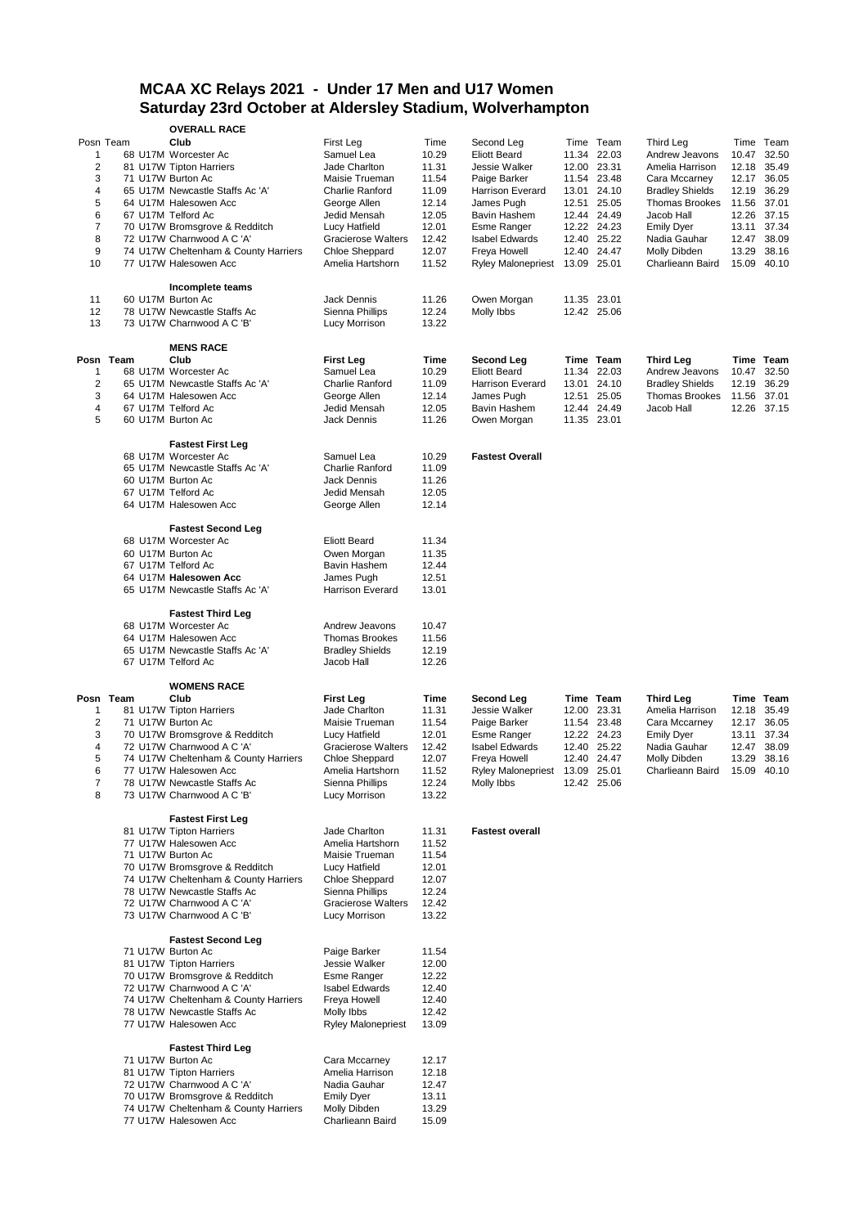## **MCAA XC Relays 2021 - Under 17 Men and U17 Women Saturday 23rd October at Aldersley Stadium, Wolverhampton**

|                |           | <b>OVERALL RACE</b>                                                   |                                              |                |                           |             |             |                        |       |             |
|----------------|-----------|-----------------------------------------------------------------------|----------------------------------------------|----------------|---------------------------|-------------|-------------|------------------------|-------|-------------|
| Posn Team      |           | Club                                                                  | First Leg                                    | Time           | Second Leg                |             | Time Team   | Third Leg              |       | Time Team   |
| $\mathbf{1}$   |           | 68 U17M Worcester Ac                                                  | Samuel Lea                                   | 10.29          | <b>Eliott Beard</b>       |             | 11.34 22.03 | Andrew Jeavons         | 10.47 | 32.50       |
| $\overline{2}$ |           | 81 U17W Tipton Harriers                                               | Jade Charlton                                | 11.31          | Jessie Walker             |             | 12.00 23.31 | Amelia Harrison        | 12.18 | 35.49       |
| 3              |           | 71 U17W Burton Ac                                                     | Maisie Trueman                               | 11.54          | Paige Barker              |             | 11.54 23.48 | Cara Mccarney          | 12.17 | 36.05       |
| 4              |           | 65 U17M Newcastle Staffs Ac 'A'                                       | Charlie Ranford                              | 11.09          | Harrison Everard          |             | 13.01 24.10 | <b>Bradley Shields</b> | 12.19 | 36.29       |
| 5              |           | 64 U17M Halesowen Acc                                                 | George Allen                                 | 12.14          | James Pugh                |             | 12.51 25.05 | <b>Thomas Brookes</b>  | 11.56 | 37.01       |
| 6              |           | 67 U17M Telford Ac                                                    | Jedid Mensah                                 | 12.05          | Bavin Hashem              |             | 12.44 24.49 | Jacob Hall             |       | 12.26 37.15 |
| $\overline{7}$ |           | 70 U17W Bromsgrove & Redditch                                         | Lucy Hatfield                                | 12.01          | Esme Ranger               |             | 12.22 24.23 | <b>Emily Dyer</b>      | 13.11 | 37.34       |
| 8              |           | 72 U17W Charnwood A C 'A'                                             | <b>Gracierose Walters</b>                    | 12.42          | <b>Isabel Edwards</b>     |             | 12.40 25.22 | Nadia Gauhar           |       | 12.47 38.09 |
| 9              |           | 74 U17W Cheltenham & County Harriers                                  | <b>Chloe Sheppard</b>                        | 12.07          | Freya Howell              |             | 12.40 24.47 | Molly Dibden           | 13.29 | 38.16       |
| 10             |           | 77 U17W Halesowen Acc                                                 | Amelia Hartshorn                             | 11.52          | <b>Ryley Malonepriest</b> | 13.09 25.01 |             | Charlieann Baird       |       | 15.09 40.10 |
|                |           | Incomplete teams                                                      |                                              |                |                           |             |             |                        |       |             |
| 11             |           | 60 U17M Burton Ac                                                     | <b>Jack Dennis</b>                           | 11.26          | Owen Morgan               |             | 11.35 23.01 |                        |       |             |
| 12             |           | 78 U17W Newcastle Staffs Ac                                           | Sienna Phillips                              | 12.24          | Molly Ibbs                |             | 12.42 25.06 |                        |       |             |
| 13             |           | 73 U17W Charnwood A C 'B'                                             | Lucy Morrison                                | 13.22          |                           |             |             |                        |       |             |
|                |           |                                                                       |                                              |                |                           |             |             |                        |       |             |
|                |           | <b>MENS RACE</b>                                                      |                                              |                |                           |             |             |                        |       |             |
|                | Posn Team | Club                                                                  | <b>First Leg</b>                             | Time           | Second Leg                |             | Time Team   | <b>Third Leg</b>       |       | Time Team   |
| $\mathbf{1}$   |           | 68 U17M Worcester Ac                                                  | Samuel Lea                                   | 10.29          | <b>Eliott Beard</b>       |             | 11.34 22.03 | Andrew Jeavons         | 10.47 | 32.50       |
| $\overline{2}$ |           | 65 U17M Newcastle Staffs Ac 'A'                                       | Charlie Ranford                              | 11.09          | <b>Harrison Everard</b>   | 13.01       | 24.10       | <b>Bradley Shields</b> | 12.19 | 36.29       |
| 3              |           | 64 U17M Halesowen Acc                                                 | George Allen                                 | 12.14          | James Pugh                |             | 12.51 25.05 | Thomas Brookes         | 11.56 | 37.01       |
| 4              |           | 67 U17M Telford Ac                                                    | Jedid Mensah                                 | 12.05          | Bavin Hashem              |             | 12.44 24.49 | Jacob Hall             |       | 12.26 37.15 |
| 5              |           | 60 U17M Burton Ac                                                     | Jack Dennis                                  | 11.26          | Owen Morgan               |             | 11.35 23.01 |                        |       |             |
|                |           | <b>Fastest First Leg</b>                                              |                                              |                |                           |             |             |                        |       |             |
|                |           | 68 U17M Worcester Ac                                                  | Samuel Lea                                   | 10.29          | <b>Fastest Overall</b>    |             |             |                        |       |             |
|                |           | 65 U17M Newcastle Staffs Ac 'A'                                       | Charlie Ranford                              | 11.09          |                           |             |             |                        |       |             |
|                |           | 60 U17M Burton Ac                                                     | <b>Jack Dennis</b>                           | 11.26          |                           |             |             |                        |       |             |
|                |           | 67 U17M Telford Ac                                                    | Jedid Mensah                                 | 12.05          |                           |             |             |                        |       |             |
|                |           | 64 U17M Halesowen Acc                                                 | George Allen                                 | 12.14          |                           |             |             |                        |       |             |
|                |           |                                                                       |                                              |                |                           |             |             |                        |       |             |
|                |           | <b>Fastest Second Leg</b>                                             |                                              |                |                           |             |             |                        |       |             |
|                |           | 68 U17M Worcester Ac                                                  | <b>Eliott Beard</b>                          | 11.34          |                           |             |             |                        |       |             |
|                |           | 60 U17M Burton Ac                                                     | Owen Morgan                                  | 11.35          |                           |             |             |                        |       |             |
|                |           | 67 U17M Telford Ac                                                    | Bavin Hashem                                 | 12.44          |                           |             |             |                        |       |             |
|                |           | 64 U17M Halesowen Acc                                                 | James Pugh                                   | 12.51          |                           |             |             |                        |       |             |
|                |           | 65 U17M Newcastle Staffs Ac 'A'                                       | <b>Harrison Everard</b>                      | 13.01          |                           |             |             |                        |       |             |
|                |           |                                                                       |                                              |                |                           |             |             |                        |       |             |
|                |           | <b>Fastest Third Leg</b>                                              |                                              |                |                           |             |             |                        |       |             |
|                |           |                                                                       |                                              |                |                           |             |             |                        |       |             |
|                |           | 68 U17M Worcester Ac                                                  | Andrew Jeavons                               | 10.47          |                           |             |             |                        |       |             |
|                |           | 64 U17M Halesowen Acc                                                 | <b>Thomas Brookes</b>                        | 11.56          |                           |             |             |                        |       |             |
|                |           | 65 U17M Newcastle Staffs Ac 'A'                                       | <b>Bradley Shields</b>                       | 12.19          |                           |             |             |                        |       |             |
|                |           | 67 U17M Telford Ac                                                    | Jacob Hall                                   | 12.26          |                           |             |             |                        |       |             |
|                |           | <b>WOMENS RACE</b>                                                    |                                              |                |                           |             |             |                        |       |             |
|                | Posn Team | Club                                                                  | <b>First Leg</b>                             | Time           | Second Leg                |             | Time Team   | <b>Third Leg</b>       |       | Time Team   |
| $\mathbf{1}$   |           | 81 U17W Tipton Harriers                                               | Jade Charlton                                | 11.31          | Jessie Walker             |             | 12.00 23.31 | Amelia Harrison        | 12.18 | 35.49       |
| $\overline{2}$ |           | 71 U17W Burton Ac                                                     | Maisie Trueman                               | 11.54          | Paige Barker              |             | 11.54 23.48 | Cara Mccarney          | 12.17 | 36.05       |
| 3              |           | 70 U17W Bromsgrove & Redditch                                         | Lucy Hatfield                                | 12.01          | Esme Ranger               |             | 12.22 24.23 | <b>Emily Dyer</b>      | 13.11 | 37.34       |
| 4              |           | 72 U17W Charnwood A C 'A'                                             | <b>Gracierose Walters</b>                    | 12.42          | <b>Isabel Edwards</b>     | 12.40       | 25.22       | Nadia Gauhar           | 12.47 | 38.09       |
| 5              |           | 74 U17W Cheltenham & County Harriers                                  | Chloe Sheppard                               | 12.07          | Freya Howell              |             | 12.40 24.47 | Molly Dibden           | 13.29 | 38.16       |
| 6              |           | 77 U17W Halesowen Acc                                                 | Amelia Hartshorn                             | 11.52          | <b>Ryley Malonepriest</b> | 13.09 25.01 |             | Charlieann Baird       |       | 15.09 40.10 |
| 7              |           | 78 U17W Newcastle Staffs Ac                                           | Sienna Phillips                              | 12.24          | Molly Ibbs                |             | 12.42 25.06 |                        |       |             |
| 8              |           | 73 U17W Charnwood A C 'B'                                             | Lucy Morrison                                | 13.22          |                           |             |             |                        |       |             |
|                |           |                                                                       |                                              |                |                           |             |             |                        |       |             |
|                |           | <b>Fastest First Leg</b>                                              |                                              |                |                           |             |             |                        |       |             |
|                |           | 81 U17W Tipton Harriers                                               | Jade Charlton                                | 11.31          | <b>Fastest overall</b>    |             |             |                        |       |             |
|                |           | 77 U17W Halesowen Acc                                                 | Amelia Hartshorn                             | 11.52          |                           |             |             |                        |       |             |
|                |           | 71 U17W Burton Ac                                                     | Maisie Trueman                               | 11.54<br>12.01 |                           |             |             |                        |       |             |
|                |           | 70 U17W Bromsgrove & Redditch<br>74 U17W Cheltenham & County Harriers | Lucy Hatfield                                |                |                           |             |             |                        |       |             |
|                |           |                                                                       | Chloe Sheppard                               | 12.07          |                           |             |             |                        |       |             |
|                |           | 78 U17W Newcastle Staffs Ac<br>72 U17W Charnwood A C 'A'              | Sienna Phillips<br><b>Gracierose Walters</b> | 12.24          |                           |             |             |                        |       |             |
|                |           | 73 U17W Charnwood A C 'B'                                             | Lucy Morrison                                | 12.42<br>13.22 |                           |             |             |                        |       |             |
|                |           |                                                                       |                                              |                |                           |             |             |                        |       |             |
|                |           | <b>Fastest Second Leg</b>                                             |                                              |                |                           |             |             |                        |       |             |
|                |           | 71 U17W Burton Ac                                                     | Paige Barker                                 | 11.54          |                           |             |             |                        |       |             |
|                |           | 81 U17W Tipton Harriers                                               | Jessie Walker                                | 12.00          |                           |             |             |                        |       |             |
|                |           | 70 U17W Bromsgrove & Redditch                                         | Esme Ranger                                  | 12.22          |                           |             |             |                        |       |             |
|                |           | 72 U17W Charnwood A C 'A'                                             | <b>Isabel Edwards</b>                        | 12.40          |                           |             |             |                        |       |             |
|                |           | 74 U17W Cheltenham & County Harriers                                  | Freya Howell                                 | 12.40          |                           |             |             |                        |       |             |
|                |           | 78 U17W Newcastle Staffs Ac                                           | Molly Ibbs                                   | 12.42          |                           |             |             |                        |       |             |
|                |           | 77 U17W Halesowen Acc                                                 | <b>Ryley Malonepriest</b>                    | 13.09          |                           |             |             |                        |       |             |
|                |           |                                                                       |                                              |                |                           |             |             |                        |       |             |
|                |           | <b>Fastest Third Leg</b><br>71 U17W Burton Ac                         | Cara Mccarney                                | 12.17          |                           |             |             |                        |       |             |
|                |           | 81 U17W Tipton Harriers                                               | Amelia Harrison                              | 12.18          |                           |             |             |                        |       |             |
|                |           | 72 U17W Charnwood A C 'A'                                             | Nadia Gauhar                                 | 12.47          |                           |             |             |                        |       |             |
|                |           | 70 U17W Bromsgrove & Redditch                                         | <b>Emily Dyer</b>                            | 13.11          |                           |             |             |                        |       |             |
|                |           | 74 U17W Cheltenham & County Harriers<br>77 U17W Halesowen Acc         | Molly Dibden<br>Charlieann Baird             | 13.29<br>15.09 |                           |             |             |                        |       |             |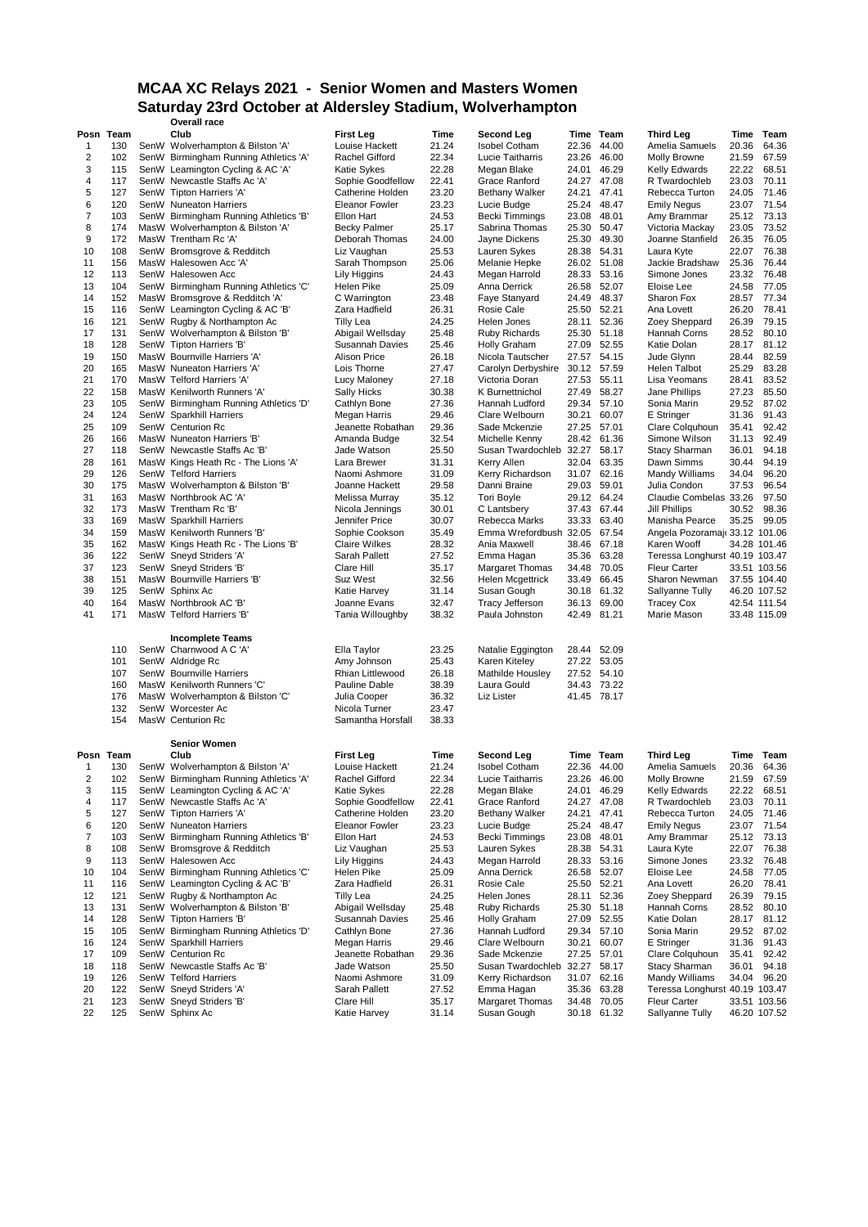#### **MCAA XC Relays 2021 - Senior Women and Masters Women Saturday 23rd October at Aldersley Stadium, Wolverhampton**

|    |           | Overall race                          |                         |       |                         |       |             |                                |       |              |
|----|-----------|---------------------------------------|-------------------------|-------|-------------------------|-------|-------------|--------------------------------|-------|--------------|
|    | Posn Team | Club                                  | <b>First Leg</b>        | Time  | <b>Second Leg</b>       |       | Time Team   | <b>Third Leg</b>               | Time  | Team         |
| 1  | 130       | SenW Wolverhampton & Bilston 'A'      | Louise Hackett          | 21.24 | <b>Isobel Cotham</b>    | 22.36 | 44.00       | Amelia Samuels                 | 20.36 | 64.36        |
| 2  | 102       | SenW Birmingham Running Athletics 'A' | Rachel Gifford          | 22.34 | Lucie Taitharris        | 23.26 | 46.00       | Molly Browne                   | 21.59 | 67.59        |
| 3  | 115       | SenW Leamington Cycling & AC 'A'      | Katie Sykes             | 22.28 | Megan Blake             | 24.01 | 46.29       | <b>Kelly Edwards</b>           | 22.22 | 68.51        |
| 4  | 117       | SenW Newcastle Staffs Ac 'A'          | Sophie Goodfellow       | 22.41 | Grace Ranford           | 24.27 | 47.08       | R Twardochleb                  | 23.03 | 70.11        |
| 5  | 127       | SenW Tipton Harriers 'A'              | <b>Catherine Holden</b> | 23.20 | Bethany Walker          | 24.21 | 47.41       | Rebecca Turton                 | 24.05 | 71.46        |
|    |           |                                       |                         |       |                         |       |             |                                |       |              |
| 6  | 120       | SenW Nuneaton Harriers                | <b>Eleanor Fowler</b>   | 23.23 | Lucie Budge             | 25.24 | 48.47       | <b>Emily Negus</b>             | 23.07 | 71.54        |
| 7  | 103       | SenW Birmingham Running Athletics 'B' | Ellon Hart              | 24.53 | <b>Becki Timmings</b>   | 23.08 | 48.01       | Amy Brammar                    | 25.12 | 73.13        |
| 8  | 174       | MasW Wolverhampton & Bilston 'A'      | Becky Palmer            | 25.17 | Sabrina Thomas          | 25.30 | 50.47       | Victoria Mackay                | 23.05 | 73.52        |
| 9  | 172       | MasW Trentham Rc 'A'                  | Deborah Thomas          | 24.00 | Jayne Dickens           | 25.30 | 49.30       | Joanne Stanfield               | 26.35 | 76.05        |
| 10 | 108       | SenW Bromsgrove & Redditch            | Liz Vaughan             | 25.53 | Lauren Sykes            | 28.38 | 54.31       | Laura Kyte                     | 22.07 | 76.38        |
| 11 | 156       | MasW Halesowen Acc 'A'                | Sarah Thompson          | 25.06 | Melanie Hepke           |       | 26.02 51.08 | Jackie Bradshaw                | 25.36 | 76.44        |
| 12 | 113       | SenW Halesowen Acc                    | Lily Higgins            | 24.43 | Megan Harrold           | 28.33 | 53.16       | Simone Jones                   | 23.32 | 76.48        |
| 13 | 104       | SenW Birmingham Running Athletics 'C' | Helen Pike              | 25.09 | Anna Derrick            | 26.58 | 52.07       | Eloise Lee                     | 24.58 | 77.05        |
| 14 | 152       | MasW Bromsgrove & Redditch 'A'        | C Warrington            | 23.48 | Faye Stanyard           | 24.49 | 48.37       | Sharon Fox                     | 28.57 | 77.34        |
| 15 | 116       |                                       | Zara Hadfield           |       | Rosie Cale              | 25.50 | 52.21       |                                | 26.20 | 78.41        |
|    |           | SenW Leamington Cycling & AC 'B'      |                         | 26.31 |                         |       |             | Ana Lovett                     |       |              |
| 16 | 121       | SenW Rugby & Northampton Ac           | <b>Tilly Lea</b>        | 24.25 | Helen Jones             |       | 28.11 52.36 | Zoey Sheppard                  | 26.39 | 79.15        |
| 17 | 131       | SenW Wolverhampton & Bilston 'B'      | Abigail Wellsday        | 25.48 | <b>Ruby Richards</b>    |       | 25.30 51.18 | Hannah Corns                   | 28.52 | 80.10        |
| 18 | 128       | SenW Tipton Harriers 'B'              | Susannah Davies         | 25.46 | <b>Holly Graham</b>     | 27.09 | 52.55       | Katie Dolan                    | 28.17 | 81.12        |
| 19 | 150       | MasW Bournville Harriers 'A'          | <b>Alison Price</b>     | 26.18 | Nicola Tautscher        |       | 27.57 54.15 | Jude Glynn                     | 28.44 | 82.59        |
| 20 | 165       | MasW Nuneaton Harriers 'A'            | Lois Thorne             | 27.47 | Carolyn Derbyshire      |       | 30.12 57.59 | Helen Talbot                   | 25.29 | 83.28        |
| 21 | 170       | MasW Telford Harriers 'A'             | Lucy Maloney            | 27.18 | Victoria Doran          | 27.53 | 55.11       | Lisa Yeomans                   | 28.41 | 83.52        |
| 22 | 158       | MasW Kenilworth Runners 'A'           | <b>Sally Hicks</b>      | 30.38 | K Burnettnichol         | 27.49 | 58.27       | Jane Phillips                  | 27.23 | 85.50        |
| 23 | 105       | SenW Birmingham Running Athletics 'D' |                         | 27.36 | Hannah Ludford          | 29.34 | 57.10       | Sonia Marin                    | 29.52 | 87.02        |
|    |           |                                       | Cathlyn Bone            |       |                         |       |             |                                |       |              |
| 24 | 124       | SenW Sparkhill Harriers               | Megan Harris            | 29.46 | Clare Welbourn          | 30.21 | 60.07       | E Stringer                     | 31.36 | 91.43        |
| 25 | 109       | SenW Centurion Rc                     | Jeanette Robathan       | 29.36 | Sade Mckenzie           |       | 27.25 57.01 | Clare Colquhoun                | 35.41 | 92.42        |
| 26 | 166       | MasW Nuneaton Harriers 'B'            | Amanda Budge            | 32.54 | Michelle Kenny          |       | 28.42 61.36 | Simone Wilson                  | 31.13 | 92.49        |
| 27 | 118       | SenW Newcastle Staffs Ac 'B           | Jade Watson             | 25.50 | Susan Twardochleb 32.27 |       | 58.17       | <b>Stacy Sharman</b>           | 36.01 | 94.18        |
| 28 | 161       | MasW Kings Heath Rc - The Lions 'A'   | Lara Brewer             | 31.31 | Kerry Allen             |       | 32.04 63.35 | Dawn Simms                     | 30.44 | 94.19        |
| 29 | 126       | SenW Telford Harriers                 | Naomi Ashmore           | 31.09 | Kerry Richardson        | 31.07 | 62.16       | Mandy Williams                 | 34.04 | 96.20        |
| 30 | 175       | MasW Wolverhampton & Bilston 'B'      | Joanne Hackett          | 29.58 | Danni Braine            | 29.03 | 59.01       | Julia Condon                   | 37.53 | 96.54        |
| 31 | 163       | MasW Northbrook AC 'A'                | Melissa Murray          | 35.12 | <b>Tori Boyle</b>       |       | 29.12 64.24 | Claudie Combelas 33.26         |       | 97.50        |
| 32 | 173       | MasW Trentham Rc 'B'                  | Nicola Jennings         | 30.01 | C Lantsbery             |       | 37.43 67.44 | Jill Phillips                  | 30.52 | 98.36        |
|    |           |                                       |                         |       |                         |       |             |                                |       |              |
| 33 | 169       | MasW Sparkhill Harriers               | Jennifer Price          | 30.07 | Rebecca Marks           | 33.33 | 63.40       | Manisha Pearce                 | 35.25 | 99.05        |
| 34 | 159       | MasW Kenilworth Runners 'B'           | Sophie Cookson          | 35.49 | Emma Wrefordbush 32.05  |       | 67.54       | Angela Pozoramajı 33.12 101.06 |       |              |
| 35 | 162       | MasW Kings Heath Rc - The Lions 'B'   | Claire Wilkes           | 28.32 | Ania Maxwell            | 38.46 | 67.18       | Karen Wooff                    |       | 34.28 101.46 |
| 36 | 122       | SenW Sneyd Striders 'A'               | Sarah Pallett           | 27.52 | Emma Hagan              | 35.36 | 63.28       | Teressa Longhurst 40.19 103.47 |       |              |
| 37 | 123       | SenW Sneyd Striders 'B'               | Clare Hill              | 35.17 | <b>Margaret Thomas</b>  | 34.48 | 70.05       | <b>Fleur Carter</b>            |       | 33.51 103.56 |
| 38 | 151       | MasW Bournville Harriers 'B'          | <b>Suz West</b>         | 32.56 | Helen Mcgettrick        | 33.49 | 66.45       | Sharon Newman                  |       | 37.55 104.40 |
| 39 | 125       | SenW Sphinx Ac                        | Katie Harvey            | 31.14 | Susan Gough             | 30.18 | 61.32       | Sallyanne Tully                |       | 46.20 107.52 |
| 40 | 164       | MasW Northbrook AC 'B'                | Joanne Evans            | 32.47 | <b>Tracy Jefferson</b>  | 36.13 | 69.00       | <b>Tracey Cox</b>              |       | 42.54 111.54 |
| 41 | 171       | MasW Telford Harriers 'B'             | Tania Willoughby        | 38.32 | Paula Johnston          | 42.49 | 81.21       | Marie Mason                    |       | 33.48 115.09 |
|    |           |                                       |                         |       |                         |       |             |                                |       |              |
|    |           |                                       |                         |       |                         |       |             |                                |       |              |
|    |           | <b>Incomplete Teams</b>               |                         |       |                         |       |             |                                |       |              |
|    | 110       | SenW Charnwood A C 'A'                | Ella Taylor             | 23.25 | Natalie Eggington       |       | 28.44 52.09 |                                |       |              |
|    | 101       | SenW Aldridge Rc                      | Amy Johnson             | 25.43 | Karen Kiteley           |       | 27.22 53.05 |                                |       |              |
|    | 107       | SenW Bournville Harriers              | Rhian Littlewood        | 26.18 | Mathilde Housley        |       | 27.52 54.10 |                                |       |              |
|    | 160       | MasW Kenilworth Runners 'C'           | Pauline Dable           | 38.39 | Laura Gould             |       | 34.43 73.22 |                                |       |              |
|    | 176       | MasW Wolverhampton & Bilston 'C'      | Julia Cooper            | 36.32 | Liz Lister              |       | 41.45 78.17 |                                |       |              |
|    | 132       | SenW Worcester Ac                     | Nicola Turner           | 23.47 |                         |       |             |                                |       |              |
|    | 154       | MasW Centurion Rc                     | Samantha Horsfall       | 38.33 |                         |       |             |                                |       |              |
|    |           |                                       |                         |       |                         |       |             |                                |       |              |
|    |           | <b>Senior Women</b>                   |                         |       |                         |       |             |                                |       |              |
|    |           |                                       |                         |       |                         |       |             |                                |       |              |
|    | Posn Team | Club                                  | <b>First Lea</b>        | Time  | Second Leg              |       | Time Team   | <b>Third Leg</b>               | Time  | Team         |
| 1  | 130       | SenW Wolverhampton & Bilston 'A'      | Louise Hackett          | 21.24 | <b>Isobel Cotham</b>    |       | 22.36 44.00 | Amelia Samuels                 | 20.36 | 64.36        |
| 2  | 102       | SenW Birmingham Running Athletics 'A' | Rachel Gifford          | 22.34 | Lucie Taitharris        | 23.26 | 46.00       | Molly Browne                   | 21.59 | 67.59        |
| 3  | 115       | SenW Leamington Cycling & AC 'A'      | Katie Sykes             | 22.28 | Megan Blake             | 24.01 | 46.29       | <b>Kelly Edwards</b>           | 22.22 | 68.51        |
| 4  | 117       | SenW Newcastle Staffs Ac 'A'          | Sophie Goodfellow       | 22.41 | Grace Ranford           | 24.27 | 47.08       | R Twardochleb                  | 23.03 | 70.11        |
| 5  | 127       | SenW Tipton Harriers 'A'              | Catherine Holden        | 23.20 | Bethany Walker          | 24.21 | 47.41       | Rebecca Turton                 | 24.05 | 71.46        |
| 6  | 120       | SenW Nuneaton Harriers                | Eleanor Fowler          | 23.23 | Lucie Budge             | 25.24 | 48.47       | <b>Emily Negus</b>             | 23.07 | 71.54        |
| 7  | 103       | SenW Birmingham Running Athletics 'B' | Ellon Hart              | 24.53 | Becki Timmings          | 23.08 | 48.01       | Amy Brammar                    | 25.12 | 73.13        |
| 8  | 108       | SenW Bromsgrove & Redditch            | Liz Vaughan             | 25.53 | Lauren Sykes            | 28.38 | 54.31       | Laura Kyte                     | 22.07 | 76.38        |
|    |           |                                       |                         |       |                         |       |             |                                |       |              |
| 9  | 113       | SenW Halesowen Acc                    | Lily Higgins            | 24.43 | Megan Harrold           | 28.33 | 53.16       | Simone Jones                   | 23.32 | 76.48        |
| 10 | 104       | SenW Birmingham Running Athletics 'C' | Helen Pike              | 25.09 | Anna Derrick            |       | 26.58 52.07 | Eloise Lee                     | 24.58 | 77.05        |
| 11 | 116       | SenW Leamington Cycling & AC 'B'      | Zara Hadfield           | 26.31 | Rosie Cale              | 25.50 | 52.21       | Ana Lovett                     | 26.20 | 78.41        |
| 12 | 121       | SenW Rugby & Northampton Ac           | <b>Tilly Lea</b>        | 24.25 | Helen Jones             | 28.11 | 52.36       | Zoey Sheppard                  | 26.39 | 79.15        |
| 13 | 131       | SenW Wolverhampton & Bilston 'B'      | Abigail Wellsday        | 25.48 | Ruby Richards           |       | 25.30 51.18 | Hannah Corns                   | 28.52 | 80.10        |
| 14 | 128       | SenW Tipton Harriers 'B'              | Susannah Davies         | 25.46 | Holly Graham            | 27.09 | 52.55       | Katie Dolan                    | 28.17 | 81.12        |
| 15 | 105       | SenW Birmingham Running Athletics 'D' | Cathlyn Bone            | 27.36 | Hannah Ludford          |       | 29.34 57.10 | Sonia Marin                    | 29.52 | 87.02        |
| 16 | 124       | SenW Sparkhill Harriers               | Megan Harris            | 29.46 | Clare Welbourn          | 30.21 | 60.07       | E Stringer                     | 31.36 | 91.43        |
| 17 | 109       | SenW Centurion Rc                     |                         | 29.36 |                         | 27.25 |             | Clare Colquhoun                |       | 92.42        |
|    |           |                                       | Jeanette Robathan       |       | Sade Mckenzie           |       | 57.01       |                                | 35.41 |              |
| 18 | 118       | SenW Newcastle Staffs Ac 'B'          | Jade Watson             | 25.50 | Susan Twardochleb 32.27 |       | 58.17       | <b>Stacy Sharman</b>           | 36.01 | 94.18        |
| 19 | 126       | SenW Telford Harriers                 | Naomi Ashmore           | 31.09 | Kerry Richardson        |       | 31.07 62.16 | Mandy Williams                 | 34.04 | 96.20        |
| 20 | 122       | SenW Sneyd Striders 'A'               | Sarah Pallett           | 27.52 | Emma Hagan              | 35.36 | 63.28       | Teressa Longhurst 40.19 103.47 |       |              |
| 21 | 123       | SenW Sneyd Striders 'B'               | Clare Hill              | 35.17 | <b>Margaret Thomas</b>  | 34.48 | 70.05       | <b>Fleur Carter</b>            |       | 33.51 103.56 |
| 22 | 125       | SenW Sphinx Ac                        | Katie Harvey            | 31.14 | Susan Gough             |       | 30.18 61.32 | Sallyanne Tully                |       | 46.20 107.52 |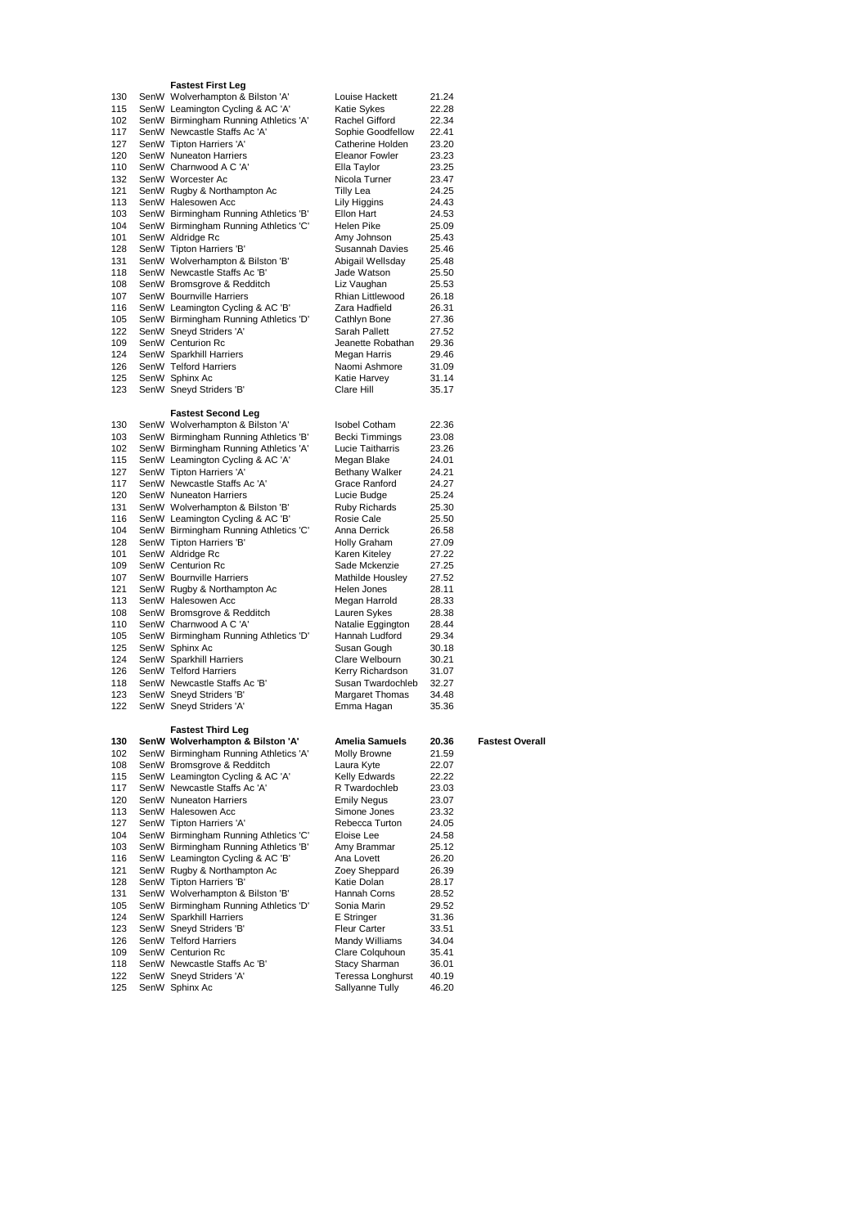## **Fastest First Leg**

|            | <b>Fastest First Leg</b>                                                  |                                     |                |                        |
|------------|---------------------------------------------------------------------------|-------------------------------------|----------------|------------------------|
| 130        | SenW Wolverhampton & Bilston 'A'                                          | Louise Hackett                      | 21.24          |                        |
| 115        | SenW Leamington Cycling & AC 'A'                                          | Katie Sykes                         | 22.28          |                        |
| 102        | SenW Birmingham Running Athletics 'A'                                     | Rachel Gifford                      | 22.34          |                        |
| 117        | SenW Newcastle Staffs Ac 'A'                                              | Sophie Goodfellow                   | 22.41          |                        |
| 127        | SenW Tipton Harriers 'A'                                                  | Catherine Holden                    | 23.20          |                        |
| 120        | SenW Nuneaton Harriers                                                    | <b>Eleanor Fowler</b>               | 23.23          |                        |
| 110        | SenW Charnwood A C 'A'                                                    | Ella Taylor                         | 23.25          |                        |
| 132        | SenW Worcester Ac                                                         | Nicola Turner                       | 23.47          |                        |
| 121        | SenW Rugby & Northampton Ac                                               | <b>Tilly Lea</b>                    | 24.25          |                        |
| 113        | SenW Halesowen Acc                                                        | Lily Higgins                        | 24.43          |                        |
| 103        | SenW Birmingham Running Athletics 'B'                                     | Ellon Hart                          | 24.53          |                        |
| 104        | SenW Birmingham Running Athletics 'C'                                     | Helen Pike                          | 25.09          |                        |
| 101        | SenW Aldridge Rc                                                          | Amy Johnson                         | 25.43          |                        |
| 128        | SenW Tipton Harriers 'B'                                                  | Susannah Davies                     | 25.46          |                        |
| 131        | SenW Wolverhampton & Bilston 'B'                                          | Abigail Wellsday                    | 25.48          |                        |
| 118        | SenW Newcastle Staffs Ac 'B'                                              | Jade Watson                         | 25.50          |                        |
| 108        | SenW Bromsgrove & Redditch                                                | Liz Vaughan                         | 25.53          |                        |
| 107        | SenW Bournville Harriers                                                  | Rhian Littlewood                    | 26.18          |                        |
| 116        | SenW Leamington Cycling & AC 'B'                                          | Zara Hadfield                       | 26.31          |                        |
| 105        | SenW Birmingham Running Athletics 'D'                                     | Cathlyn Bone                        | 27.36          |                        |
| 122        | SenW Sneyd Striders 'A'                                                   | Sarah Pallett                       | 27.52          |                        |
| 109        | SenW Centurion Rc                                                         | Jeanette Robathan                   | 29.36          |                        |
| 124        | SenW Sparkhill Harriers                                                   | Megan Harris                        | 29.46          |                        |
| 126        | SenW Telford Harriers                                                     | Naomi Ashmore                       | 31.09          |                        |
| 125        | SenW Sphinx Ac                                                            | Katie Harvey                        | 31.14          |                        |
| 123        | SenW Sneyd Striders 'B'                                                   | Clare Hill                          | 35.17          |                        |
|            |                                                                           |                                     |                |                        |
|            | <b>Fastest Second Leg</b>                                                 |                                     |                |                        |
| 130        | SenW Wolverhampton & Bilston 'A'                                          | Isobel Cotham                       | 22.36          |                        |
| 103        | SenW Birmingham Running Athletics 'B'                                     | Becki Timmings                      | 23.08          |                        |
| 102        | SenW Birmingham Running Athletics 'A'                                     | Lucie Taitharris                    | 23.26          |                        |
| 115        | SenW Leamington Cycling & AC 'A'                                          | Megan Blake                         | 24.01          |                        |
| 127        | SenW Tipton Harriers 'A'                                                  | Bethany Walker                      | 24.21          |                        |
| 117        | SenW Newcastle Staffs Ac 'A'                                              | Grace Ranford                       | 24.27          |                        |
| 120        | SenW Nuneaton Harriers                                                    | Lucie Budge                         | 25.24          |                        |
| 131        | SenW Wolverhampton & Bilston 'B'                                          | <b>Ruby Richards</b>                | 25.30          |                        |
| 116        | SenW Leamington Cycling & AC 'B'                                          | Rosie Cale                          | 25.50          |                        |
| 104        | SenW Birmingham Running Athletics 'C'                                     | Anna Derrick                        | 26.58          |                        |
| 128        | SenW Tipton Harriers 'B'                                                  | <b>Holly Graham</b>                 | 27.09          |                        |
| 101        | SenW Aldridge Rc                                                          | Karen Kiteley                       | 27.22          |                        |
| 109        | SenW Centurion Rc                                                         | Sade Mckenzie                       | 27.25          |                        |
| 107        | SenW Bournville Harriers                                                  | Mathilde Housley                    | 27.52          |                        |
| 121        | SenW Rugby & Northampton Ac                                               | Helen Jones                         | 28.11          |                        |
| 113        | SenW Halesowen Acc                                                        | Megan Harrold                       | 28.33          |                        |
| 108        | SenW Bromsgrove & Redditch                                                |                                     |                |                        |
| 110        |                                                                           |                                     | 28.38          |                        |
| 105        | SenW Charnwood A C 'A'                                                    | Lauren Sykes                        | 28.44          |                        |
|            |                                                                           | Natalie Eggington<br>Hannah Ludford | 29.34          |                        |
| 125        | SenW Birmingham Running Athletics 'D'                                     | Susan Gough                         | 30.18          |                        |
| 124        | SenW Sphinx Ac<br>SenW Sparkhill Harriers                                 | Clare Welbourn                      | 30.21          |                        |
| 126        | SenW Telford Harriers                                                     | Kerry Richardson                    | 31.07          |                        |
| 118        | SenW Newcastle Staffs Ac 'B'                                              | Susan Twardochleb                   | 32.27          |                        |
| 123        | SenW Sneyd Striders 'B'                                                   | Margaret Thomas                     | 34.48          |                        |
| 122        | SenW Sneyd Striders 'A'                                                   | Emma Hagan                          | 35.36          |                        |
|            |                                                                           |                                     |                |                        |
|            | <b>Fastest Third Leg</b>                                                  |                                     |                |                        |
| 130        |                                                                           | Amelia Samuels                      |                |                        |
| 102        | SenW Wolverhampton & Bilston 'A'<br>SenW Birmingham Running Athletics 'A' | Molly Browne                        | 20.36<br>21.59 | <b>Fastest Overall</b> |
| 108        | SenW Bromsgrove & Redditch                                                | Laura Kyte                          | 22.07          |                        |
| 115        | SenW Leamington Cycling & AC 'A'                                          | Kelly Edwards                       | 22.22          |                        |
| 117        | SenW Newcastle Staffs Ac 'A'                                              | R Twardochleb                       | 23.03          |                        |
| 120        | SenW Nuneaton Harriers                                                    | <b>Emily Negus</b>                  | 23.07          |                        |
| 113        | SenW Halesowen Acc                                                        | Simone Jones                        | 23.32          |                        |
| 127        | SenW Tipton Harriers 'A'                                                  | Rebecca Turton                      | 24.05          |                        |
| 104        | SenW Birmingham Running Athletics 'C'                                     | Eloise Lee                          | 24.58          |                        |
| 103        | SenW Birmingham Running Athletics 'B'                                     | Amy Brammar                         | 25.12          |                        |
| 116        | SenW Leamington Cycling & AC 'B'                                          | Ana Lovett                          | 26.20          |                        |
| 121        | SenW Rugby & Northampton Ac                                               | Zoey Sheppard                       | 26.39          |                        |
| 128        | SenW Tipton Harriers 'B'                                                  | Katie Dolan                         | 28.17          |                        |
| 131        | SenW Wolverhampton & Bilston 'B'                                          | Hannah Corns                        | 28.52          |                        |
| 105<br>124 | SenW Birmingham Running Athletics 'D'<br>SenW Sparkhill Harriers          | Sonia Marin<br><b>E</b> Stringer    | 29.52<br>31.36 |                        |

| 103 | SenW Birmingham Running Athletics 'B' | Amy Brammar          | 25.12 |
|-----|---------------------------------------|----------------------|-------|
| 116 | SenW Leamington Cycling & AC 'B'      | Ana Lovett           | 26.20 |
| 121 | SenW Rugby & Northampton Ac           | Zoey Sheppard        | 26.39 |
| 128 | SenW Tipton Harriers 'B'              | Katie Dolan          | 28.17 |
| 131 | SenW Wolverhampton & Bilston 'B'      | Hannah Corns         | 28.52 |
| 105 | SenW Birmingham Running Athletics 'D' | Sonia Marin          | 29.52 |
| 124 | SenW Sparkhill Harriers               | E Stringer           | 31.36 |
| 123 | SenW Sneyd Striders 'B'               | <b>Fleur Carter</b>  | 33.51 |
| 126 | SenW Telford Harriers                 | Mandy Williams       | 34.04 |
| 109 | SenW Centurion Rc                     | Clare Colquhoun      | 35.41 |
| 118 | SenW Newcastle Staffs Ac 'B'          | <b>Stacy Sharman</b> | 36.01 |

 SenW Sneyd Striders 'A' Teressa Longhurst 40.19 125 SenW Sphinx Ac Sallyanne Tully 46.20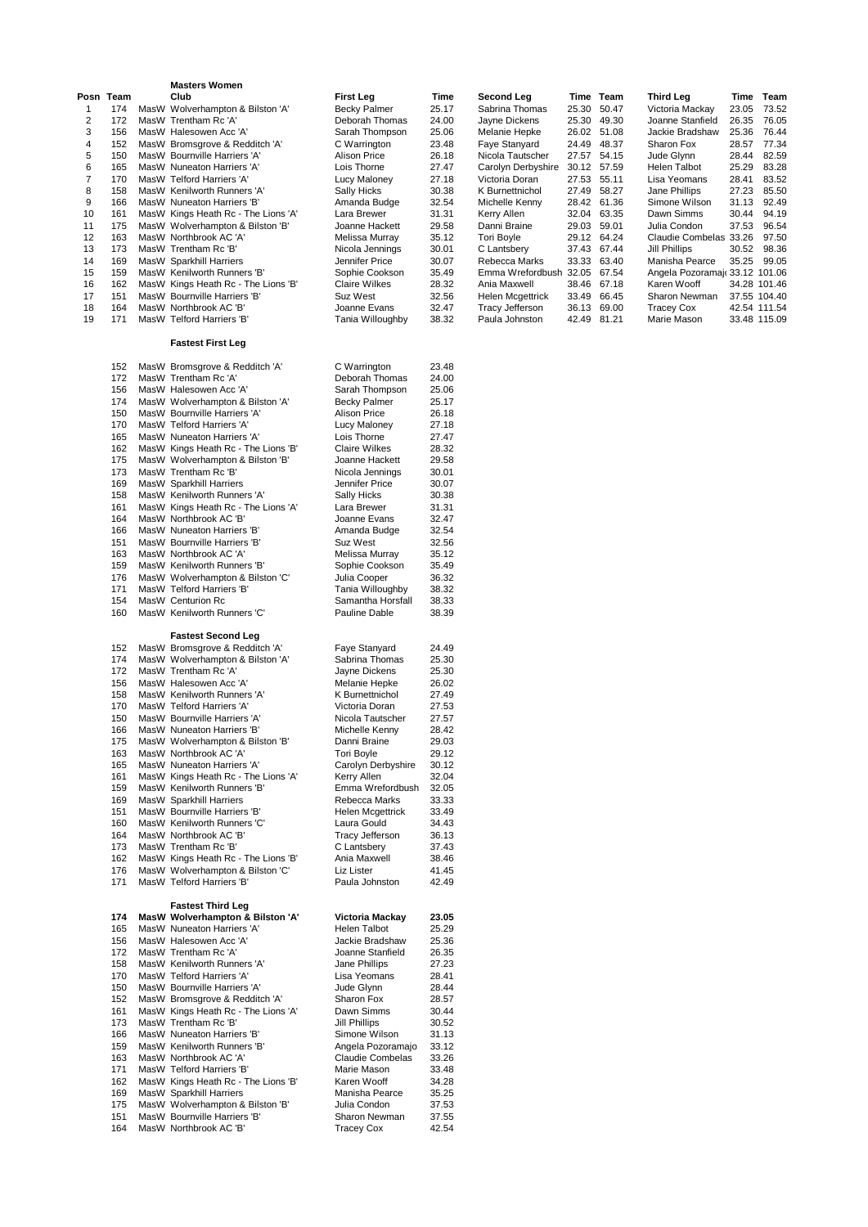|           |            | <b>Masters Women</b>                                                    |                                        |                |                                               |                      |           |                                                  |                |                |
|-----------|------------|-------------------------------------------------------------------------|----------------------------------------|----------------|-----------------------------------------------|----------------------|-----------|--------------------------------------------------|----------------|----------------|
| Posn Team |            | Club                                                                    | <b>First Leg</b>                       | Time           | Second Leg                                    |                      | Time Team | <b>Third Leg</b>                                 |                | Time Team      |
| 1<br>2    | 174<br>172 | MasW Wolverhampton & Bilston 'A'<br>MasW Trentham Rc 'A'                | <b>Becky Palmer</b><br>Deborah Thomas  | 25.17<br>24.00 | Sabrina Thomas<br>Javne Dickens               | 25.30<br>25.30 49.30 | 50.47     | Victoria Mackay<br>Joanne Stanfield              | 23.05<br>26.35 | 73.52<br>76.05 |
| 3         | 156        | MasW Halesowen Acc 'A'                                                  | Sarah Thompson                         | 25.06          | Melanie Hepke                                 | 26.02 51.08          |           | Jackie Bradshaw                                  | 25.36          | 76.44          |
| 4         | 152        | MasW Bromsgrove & Redditch 'A'                                          | C Warrington                           | 23.48          | Faye Stanyard                                 | 24.49 48.37          |           | Sharon Fox                                       | 28.57          | 77.34          |
| 5         | 150        | MasW Bournville Harriers 'A'                                            | Alison Price                           | 26.18          | Nicola Tautscher                              | 27.57 54.15          |           | Jude Glynn                                       | 28.44          | 82.59          |
| 6         | 165        | MasW Nuneaton Harriers 'A'                                              | Lois Thorne                            | 27.47          | Carolyn Derbyshire                            | 30.12 57.59          |           | Helen Talbot                                     | 25.29          | 83.28          |
| 7         | 170        | MasW Telford Harriers 'A'                                               | Lucy Maloney                           | 27.18          | Victoria Doran                                | 27.53 55.11          |           | Lisa Yeomans                                     | 28.41          | 83.52          |
| 8<br>9    | 158<br>166 | MasW Kenilworth Runners 'A'<br>MasW Nuneaton Harriers 'B'               | Sally Hicks<br>Amanda Budge            | 30.38<br>32.54 | K Burnettnichol<br>Michelle Kenny             | 27.49<br>28.42 61.36 | 58.27     | Jane Phillips<br>Simone Wilson                   | 27.23<br>31.13 | 85.50<br>92.49 |
| 10        | 161        | MasW Kings Heath Rc - The Lions 'A'                                     | Lara Brewer                            | 31.31          | Kerry Allen                                   | 32.04 63.35          |           | Dawn Simms                                       | 30.44          | 94.19          |
| 11        | 175        | MasW Wolverhampton & Bilston 'B'                                        | Joanne Hackett                         | 29.58          | Danni Braine                                  | 29.03 59.01          |           | Julia Condon                                     | 37.53          | 96.54          |
| 12        | 163        | MasW Northbrook AC 'A'                                                  | Melissa Murray                         | 35.12          | <b>Tori Boyle</b>                             | 29.12 64.24          |           | Claudie Combelas 33.26                           |                | 97.50          |
| 13        | 173        | MasW Trentham Rc 'B'                                                    | Nicola Jennings                        | 30.01          | C Lantsbery                                   | 37.43 67.44          |           | Jill Phillips                                    | 30.52          | 98.36          |
| 14        | 169<br>159 | MasW Sparkhill Harriers<br>MasW Kenilworth Runners 'B'                  | Jennifer Price                         | 30.07          | Rebecca Marks<br>Emma Wrefordbush 32.05 67.54 | 33.33 63.40          |           | Manisha Pearce<br>Angela Pozoramajı 33.12 101.06 | 35.25          | 99.05          |
| 15<br>16  | 162        | MasW Kings Heath Rc - The Lions 'B'                                     | Sophie Cookson<br><b>Claire Wilkes</b> | 35.49<br>28.32 | Ania Maxwell                                  | 38.46                | 67.18     | Karen Wooff                                      |                | 34.28 101.46   |
| 17        | 151        | MasW Bournville Harriers 'B'                                            | <b>Suz West</b>                        | 32.56          | Helen Mcgettrick                              | 33.49 66.45          |           | Sharon Newman                                    |                | 37.55 104.40   |
| 18        | 164        | MasW Northbrook AC 'B'                                                  | Joanne Evans                           | 32.47          | <b>Tracy Jefferson</b>                        | 36.13 69.00          |           | <b>Tracey Cox</b>                                |                | 42.54 111.54   |
| 19        | 171        | MasW Telford Harriers 'B'                                               | Tania Willoughby                       | 38.32          | Paula Johnston                                | 42.49                | 81.21     | Marie Mason                                      |                | 33.48 115.09   |
|           |            | <b>Fastest First Leg</b>                                                |                                        |                |                                               |                      |           |                                                  |                |                |
|           | 152        | MasW Bromsgrove & Redditch 'A'                                          | C Warrington                           | 23.48          |                                               |                      |           |                                                  |                |                |
|           | 172        | MasW Trentham Rc 'A'                                                    | Deborah Thomas                         | 24.00          |                                               |                      |           |                                                  |                |                |
|           | 156        | MasW Halesowen Acc 'A'                                                  | Sarah Thompson                         | 25.06          |                                               |                      |           |                                                  |                |                |
|           | 174        | MasW Wolverhampton & Bilston 'A'                                        | <b>Becky Palmer</b>                    | 25.17          |                                               |                      |           |                                                  |                |                |
|           | 150        | MasW Bournville Harriers 'A'                                            | <b>Alison Price</b>                    | 26.18          |                                               |                      |           |                                                  |                |                |
|           | 170        | MasW Telford Harriers 'A'                                               | Lucy Maloney                           | 27.18          |                                               |                      |           |                                                  |                |                |
|           | 165<br>162 | MasW Nuneaton Harriers 'A'                                              | Lois Thorne                            | 27.47          |                                               |                      |           |                                                  |                |                |
|           | 175        | MasW Kings Heath Rc - The Lions 'B'<br>MasW Wolverhampton & Bilston 'B' | <b>Claire Wilkes</b><br>Joanne Hackett | 28.32<br>29.58 |                                               |                      |           |                                                  |                |                |
|           | 173        | MasW Trentham Rc 'B'                                                    | Nicola Jennings                        | 30.01          |                                               |                      |           |                                                  |                |                |
|           | 169        | MasW Sparkhill Harriers                                                 | Jennifer Price                         | 30.07          |                                               |                      |           |                                                  |                |                |
|           | 158        | MasW Kenilworth Runners 'A'                                             | Sally Hicks                            | 30.38          |                                               |                      |           |                                                  |                |                |
|           | 161        | MasW Kings Heath Rc - The Lions 'A'                                     | Lara Brewer                            | 31.31          |                                               |                      |           |                                                  |                |                |
|           | 164<br>166 | MasW Northbrook AC 'B'                                                  | Joanne Evans                           | 32.47<br>32.54 |                                               |                      |           |                                                  |                |                |
|           | 151        | MasW Nuneaton Harriers 'B'<br>MasW Bournville Harriers 'B'              | Amanda Budge<br><b>Suz West</b>        | 32.56          |                                               |                      |           |                                                  |                |                |
|           | 163        | MasW Northbrook AC 'A'                                                  | Melissa Murray                         | 35.12          |                                               |                      |           |                                                  |                |                |
|           | 159        | MasW Kenilworth Runners 'B'                                             | Sophie Cookson                         | 35.49          |                                               |                      |           |                                                  |                |                |
|           | 176        | MasW Wolverhampton & Bilston 'C'                                        | Julia Cooper                           | 36.32          |                                               |                      |           |                                                  |                |                |
|           | 171        | MasW Telford Harriers 'B'                                               | Tania Willoughby                       | 38.32          |                                               |                      |           |                                                  |                |                |
|           | 154<br>160 | MasW Centurion Rc<br>MasW Kenilworth Runners 'C'                        | Samantha Horsfall<br>Pauline Dable     | 38.33<br>38.39 |                                               |                      |           |                                                  |                |                |
|           |            |                                                                         |                                        |                |                                               |                      |           |                                                  |                |                |
|           |            | <b>Fastest Second Leg</b>                                               |                                        |                |                                               |                      |           |                                                  |                |                |
|           | 152        | MasW Bromsgrove & Redditch 'A'                                          | Faye Stanyard                          | 24.49          |                                               |                      |           |                                                  |                |                |
|           | 174<br>172 | MasW Wolverhampton & Bilston 'A'<br>MasW Trentham Rc 'A'                | Sabrina Thomas<br>Jayne Dickens        | 25.30<br>25.30 |                                               |                      |           |                                                  |                |                |
|           | 156        | MasW Halesowen Acc 'A'                                                  | Melanie Hepke                          | 26.02          |                                               |                      |           |                                                  |                |                |
|           | 158        | MasW Kenilworth Runners 'A'                                             | K Burnettnichol                        | 27.49          |                                               |                      |           |                                                  |                |                |
|           | 170        | MasW Telford Harriers 'A'                                               | Victoria Doran                         | 27.53          |                                               |                      |           |                                                  |                |                |
|           | 150        | MasW Bournville Harriers 'A'                                            | Nicola Tautscher                       | 27.57          |                                               |                      |           |                                                  |                |                |
|           | 166        | MasW Nuneaton Harriers 'B'                                              | Michelle Kenny                         | 28.42          |                                               |                      |           |                                                  |                |                |
|           | 175<br>163 | MasW Wolverhampton & Bilston 'B'<br>MasW Northbrook AC 'A'              | Danni Braine<br><b>Tori Boyle</b>      | 29.03<br>29.12 |                                               |                      |           |                                                  |                |                |
|           | 165        | MasW Nuneaton Harriers 'A'                                              | Carolyn Derbyshire                     | 30.12          |                                               |                      |           |                                                  |                |                |
|           | 161        | MasW Kings Heath Rc - The Lions 'A'                                     | Kerry Allen                            | 32.04          |                                               |                      |           |                                                  |                |                |
|           | 159        | MasW Kenilworth Runners 'B'                                             | Emma Wrefordbush                       | 32.05          |                                               |                      |           |                                                  |                |                |
|           | 169        | MasW Sparkhill Harriers                                                 | Rebecca Marks                          | 33.33          |                                               |                      |           |                                                  |                |                |
|           | 151<br>160 | MasW Bournville Harriers 'B'<br>MasW Kenilworth Runners 'C'             | Helen Mcgettrick<br>Laura Gould        | 33.49<br>34.43 |                                               |                      |           |                                                  |                |                |
|           | 164        | MasW Northbrook AC 'B'                                                  | <b>Tracy Jefferson</b>                 | 36.13          |                                               |                      |           |                                                  |                |                |
|           | 173        | MasW Trentham Rc 'B'                                                    | C Lantsbery                            | 37.43          |                                               |                      |           |                                                  |                |                |
|           | 162        | MasW Kings Heath Rc - The Lions 'B'                                     | Ania Maxwell                           | 38.46          |                                               |                      |           |                                                  |                |                |
|           | 176        | MasW Wolverhampton & Bilston 'C'                                        | Liz Lister                             | 41.45          |                                               |                      |           |                                                  |                |                |
|           | 171        | MasW Telford Harriers 'B'                                               | Paula Johnston                         | 42.49          |                                               |                      |           |                                                  |                |                |
|           |            | <b>Fastest Third Leg</b>                                                |                                        |                |                                               |                      |           |                                                  |                |                |
|           | 174        | MasW Wolverhampton & Bilston 'A'                                        | Victoria Mackay                        | 23.05          |                                               |                      |           |                                                  |                |                |
|           | 165        | MasW Nuneaton Harriers 'A'                                              | <b>Helen Talbot</b>                    | 25.29          |                                               |                      |           |                                                  |                |                |
|           | 156<br>172 | MasW Halesowen Acc 'A'<br>MasW Trentham Rc 'A'                          | Jackie Bradshaw<br>Joanne Stanfield    | 25.36<br>26.35 |                                               |                      |           |                                                  |                |                |
|           | 158        | MasW Kenilworth Runners 'A'                                             | Jane Phillips                          | 27.23          |                                               |                      |           |                                                  |                |                |
|           | 170        | MasW Telford Harriers 'A'                                               | Lisa Yeomans                           | 28.41          |                                               |                      |           |                                                  |                |                |
|           | 150        | MasW Bournville Harriers 'A'                                            | Jude Glynn                             | 28.44          |                                               |                      |           |                                                  |                |                |
|           | 152        | MasW Bromsgrove & Redditch 'A'                                          | Sharon Fox                             | 28.57          |                                               |                      |           |                                                  |                |                |
|           | 161        | MasW Kings Heath Rc - The Lions 'A'                                     | Dawn Simms                             | 30.44          |                                               |                      |           |                                                  |                |                |
|           | 173<br>166 | MasW Trentham Rc 'B'<br>MasW Nuneaton Harriers 'B'                      | <b>Jill Phillips</b><br>Simone Wilson  | 30.52<br>31.13 |                                               |                      |           |                                                  |                |                |
|           | 159        | MasW Kenilworth Runners 'B'                                             | Angela Pozoramajo                      | 33.12          |                                               |                      |           |                                                  |                |                |
|           | 163        | MasW Northbrook AC 'A'                                                  | Claudie Combelas                       | 33.26          |                                               |                      |           |                                                  |                |                |
|           | 171        | MasW Telford Harriers 'B'                                               | Marie Mason                            | 33.48          |                                               |                      |           |                                                  |                |                |
|           | 162        | MasW Kings Heath Rc - The Lions 'B'                                     | Karen Wooff                            | 34.28          |                                               |                      |           |                                                  |                |                |
|           | 169        | MasW Sparkhill Harriers                                                 | Manisha Pearce<br>Julia Condon         | 35.25          |                                               |                      |           |                                                  |                |                |
|           | 175<br>151 | MasW Wolverhampton & Bilston 'B'<br>MasW Bournville Harriers 'B'        | Sharon Newman                          | 37.53<br>37.55 |                                               |                      |           |                                                  |                |                |
|           | 164        | MasW Northbrook AC 'B'                                                  | <b>Tracey Cox</b>                      | 42.54          |                                               |                      |           |                                                  |                |                |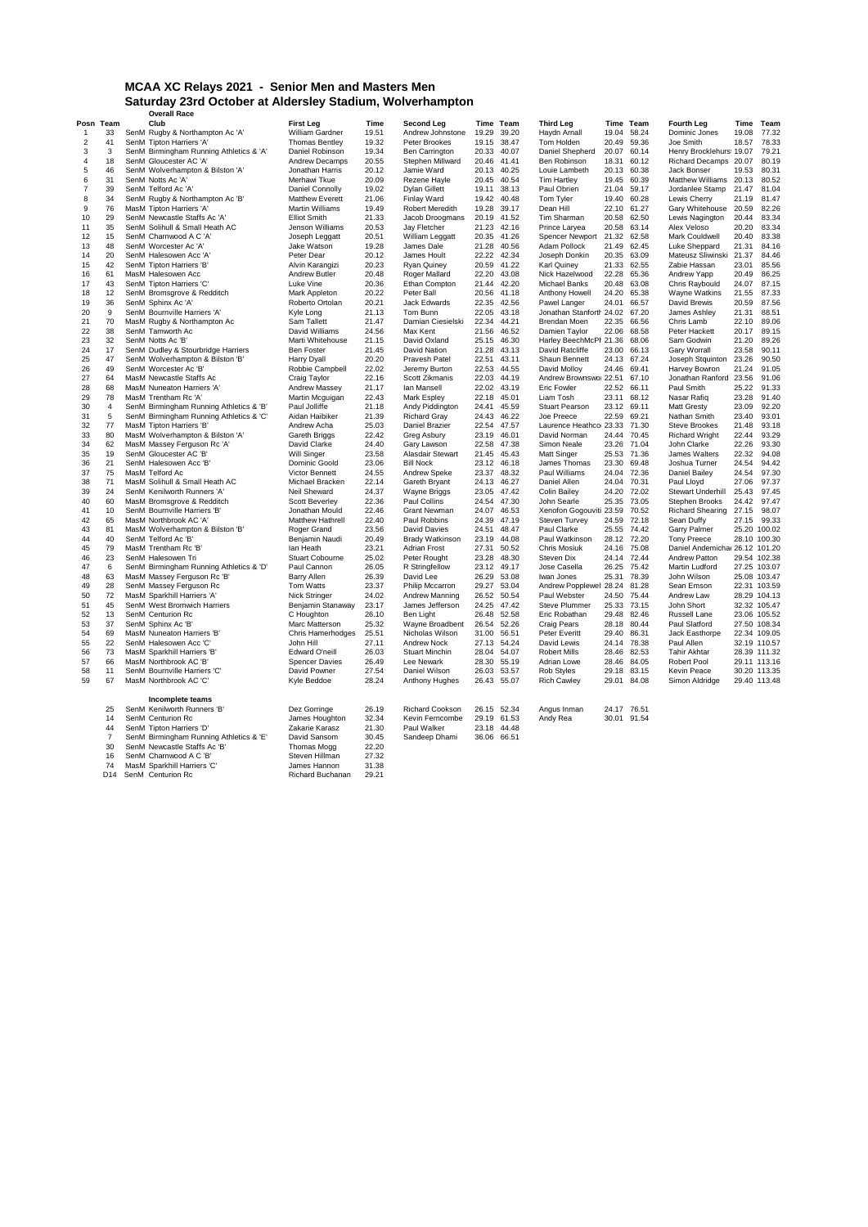### **MCAA XC Relays 2021 - Senior Men and Masters Men Saturday 23rd October at Aldersley Stadium, Wolverhampton Overall Race**

|                |                 | overali Race                            |                        |       |                       |             |             |                               |       |             |                               |              |              |
|----------------|-----------------|-----------------------------------------|------------------------|-------|-----------------------|-------------|-------------|-------------------------------|-------|-------------|-------------------------------|--------------|--------------|
|                | Posn Team       | Club                                    | <b>First Leg</b>       | Time  | Second Leg            |             | Time Team   | <b>Third Leg</b>              |       | Time Team   | <b>Fourth Leg</b>             |              | Time Team    |
| $\overline{1}$ | 33              | SenM Rugby & Northampton Ac 'A'         | William Gardner        | 19.51 | Andrew Johnstone      | 19.29       | 39.20       | Haydn Arnall                  |       | 19.04 58.24 | Dominic Jones                 | 19.08        | 77.32        |
| $\overline{2}$ | 41              | SenM Tipton Harriers 'A'                | <b>Thomas Bentley</b>  | 19.32 | Peter Brookes         |             | 19.15 38.47 | Tom Holden                    | 20.49 | 59.36       | Joe Smith                     | 18.57        | 78.33        |
| 3              | 3               | SenM Birmingham Running Athletics & 'A' | Daniel Robinson        | 19.34 | Ben Carrington        | 20.33       | 40.07       | Daniel Shepherd               |       | 20.07 60.14 | Henry Brocklehurs: 19.07      |              | 79.21        |
| 4              | 18              | SenM Gloucester AC 'A'                  | Andrew Decamps         | 20.55 | Stephen Millward      | 20.46       | 41.41       | Ben Robinson                  | 18.31 | 60.12       | Richard Decamps 20.07         |              | 80.19        |
| 5              | 46              | SenM Wolverhampton & Bilston 'A'        | Jonathan Harris        | 20.12 | Jamie Ward            |             | 20.13 40.25 | Louie Lambeth                 |       | 20.13 60.38 | Jack Bonser                   | 19.53        | 80.31        |
| 6              | 31              | SenM Notts Ac 'A'                       | Merhawi Tkue           | 20.09 | Rezene Hayle          |             | 20.45 40.54 | <b>Tim Hartley</b>            |       | 19.45 60.39 | Matthew Williams 20.13        |              | 80.52        |
| 7              | 39              | SenM Telford Ac 'A'                     | Daniel Connolly        | 19.02 | <b>Dylan Gillett</b>  | 19.11       | 38.13       | Paul Obrien                   |       | 21.04 59.17 | Jordanlee Stamp               | 21.47        | 81.04        |
| 8              | 34              | SenM Rugby & Northampton Ac 'B'         | <b>Matthew Everett</b> | 21.06 | Finlay Ward           |             | 19.42 40.48 | Tom Tyler                     |       | 19.40 60.28 | Lewis Cherry                  | 21.19        | 81.47        |
| 9              | 76              | MasM Tipton Harriers 'A'                | <b>Martin Williams</b> | 19.49 | Robert Meredith       | 19.28       | 39.17       | Dean Hill                     |       | 22.10 61.27 | Gary Whitehouse               | 20.59        | 82.26        |
| 10             | 29              | SenM Newcastle Staffs Ac 'A'            | <b>Elliot Smith</b>    | 21.33 | Jacob Droogmans       | 20.19 41.52 |             | Tim Sharman                   |       | 20.58 62.50 | Lewis Nagington               | 20.44        | 83.34        |
| 11             | 35              | SenM Solihull & Small Heath AC          | Jenson Williams        | 20.53 | Jay Fletcher          | 21.23       | 42.16       | Prince Laryea                 | 20.58 | 63.14       | Alex Veloso                   | 20.20        | 83.34        |
| 12             | 15              | SenM Charnwood A C 'A'                  | Joseph Leggatt         | 20.51 | William Leggatt       |             | 20.35 41.26 | <b>Spencer Newport</b>        | 21.32 | 62.58       | Mark Couldwell                | 20.40        | 83.38        |
| 13             | 48              | SenM Worcester Ac 'A'                   | Jake Watson            | 19.28 | James Dale            |             | 21.28 40.56 | Adam Pollock                  |       | 21.49 62.45 | Luke Sheppard                 | 21.31        | 84.16        |
| 14             | 20              | SenM Halesowen Acc 'A'                  | Peter Dear             | 20.12 | James Hoult           |             | 22.22 42.34 | Joseph Donkin                 |       | 20.35 63.09 | Mateusz Sliwinski             | 21.37        | 84.46        |
| 15             | 42              | SenM Tipton Harriers 'B'                | Alvin Karangizi        | 20.23 | Ryan Quiney           |             | 20.59 41.22 | Karl Quiney                   |       | 21.33 62.55 | Zabie Hassan                  | 23.01        | 85.56        |
| 16             | 61              | MasM Halesowen Acc                      | Andrew Butler          | 20.48 | Roger Mallard         |             | 22.20 43.08 | Nick Hazelwood                |       | 22.28 65.36 | Andrew Yapp                   | 20.49        | 86.25        |
| 17             | 43              | SenM Tipton Harriers 'C'                | Luke Vine              | 20.36 | Ethan Compton         |             | 21.44 42.20 | <b>Michael Banks</b>          |       | 20.48 63.08 | Chris Raybould                | 24.07        | 87.15        |
| 18             | 12              | SenM Bromsgrove & Redditch              | Mark Appleton          | 20.22 | Peter Ball            |             | 20.56 41.18 | Anthony Howell                |       | 24.20 65.38 | Wayne Watkins                 | 21.55        | 87.33        |
| 19             | 36              | SenM Sphinx Ac 'A'                      | Roberto Ortolan        | 20.21 | Jack Edwards          |             | 22.35 42.56 | Pawel Langer                  | 24.01 | 66.57       | David Brewis                  | 20.59        | 87.56        |
| 20             | 9               | SenM Bournville Harriers 'A'            | Kyle Long              | 21.13 | Tom Bunn              | 22.05       | 43.18       | Jonathan Stanforth 24.02      |       | 67.20       | James Ashley                  | 21.31        | 88.51        |
| 21             | 70              | MasM Rugby & Northampton Ac             | Sam Tallett            | 21.47 | Damian Ciesielski     | 22.34 44.21 |             | Brendan Moen                  |       | 22.35 66.56 | Chris Lamb                    | 22.10        | 89.06        |
| 22             | 38              | SenM Tamworth Ac                        | David Williams         | 24.56 | Max Kent              |             | 21.56 46.52 | Damien Taylor                 |       | 22.06 68.58 | Peter Hackett                 | 20.17        | 89.15        |
|                | 32              | SenM Notts Ac 'B'                       | Marti Whitehouse       | 21.15 |                       |             | 25.15 46.30 | Harley BeechMcPl 21.36 68.06  |       |             |                               | 21.20        | 89.26        |
| 23             |                 |                                         |                        |       | David Oxland          |             |             |                               |       |             | Sam Godwin                    |              |              |
| 24             | 17              | SenM Dudley & Stourbridge Harriers      | <b>Ben Foster</b>      | 21.45 | David Nation          | 21.28       | 43.13       | David Ratcliffe               | 23.00 | 66.13       | Gary Worrall                  | 23.58        | 90.11        |
| 25             | 47              | SenM Wolverhampton & Bilston 'B'        | Harry Dyall            | 20.20 | Pravesh Patel         |             | 22.51 43.11 | Shaun Bennett                 |       | 24.13 67.24 | Joseph Stquinton              | 23.26        | 90.50        |
| 26             | 49              | SenM Worcester Ac 'B'                   | Robbie Campbell        | 22.02 | Jeremy Burton         | 22.53       | 44.55       | David Molloy                  |       | 24.46 69.41 | Harvey Bowron                 | 21.24        | 91.05        |
| 27             | 64              | MasM Newcastle Staffs Ac                | Craig Taylor           | 22.16 | Scott Zikmanis        | 22.03       | 44.19       | Andrew Brownswoi 22.51        |       | 67.10       | Jonathan Ranford              | 23.56        | 91.06        |
| 28             | 68              | MasM Nuneaton Harriers 'A'              | Andrew Massey          | 21.17 | Ian Mansell           |             | 22.02 43.19 | <b>Eric Fowler</b>            | 22.52 | 66.11       | Paul Smith                    | 25.22        | 91.33        |
| 29             | 78              | MasM Trentham Rc 'A'                    | Martin Mcguigan        | 22.43 | Mark Espley           |             | 22.18 45.01 | Liam Tosh                     |       | 23.11 68.12 | Nasar Rafiq                   | 23.28        | 91.40        |
| 30             | $\overline{4}$  | SenM Birmingham Running Athletics & 'B' | Paul Jolliffe          | 21.18 | Andy Piddington       | 24.41       | 45.59       | Stuart Pearson                |       | 23.12 69.11 | Matt Gresty                   | 23.09        | 92.20        |
| 31             | 5               | SenM Birmingham Running Athletics & 'C' | Aidan Haibiker         | 21.39 | <b>Richard Gray</b>   | 24.43       | 46.22       | Joe Preece                    |       | 22.59 69.21 | Nathan Smith                  | 23.40        | 93.01        |
| 32             | 77              | MasM Tipton Harriers 'B'                | Andrew Acha            | 25.03 | Daniel Brazier        | 22.54       | 47.57       | Laurence Heathco 23.33 71.30  |       |             | <b>Steve Brookes</b>          | 21.48        | 93.18        |
| 33             | 80              | MasM Wolverhampton & Bilston 'A'        | Gareth Briggs          | 22.42 | Greg Asbury           |             | 23.19 46.01 | David Norman                  |       | 24.44 70.45 | <b>Richard Wright</b>         | 22.44        | 93.29        |
| 34             | 62              | MasM Massey Ferguson Rc 'A'             | David Clarke           | 24.40 | Gary Lawson           |             | 22.58 47.38 | Simon Neale                   |       | 23.26 71.04 | John Clarke                   | 22.26        | 93.30        |
| 35             | 19              | SenM Gloucester AC 'B'                  | Will Singer            | 23.58 | Alasdair Stewart      |             | 21.45 45.43 | <b>Matt Singer</b>            | 25.53 | 71.36       | James Walters                 | 22.32        | 94.08        |
| 36             | 21              | SenM Halesowen Acc 'B'                  | Dominic Goold          | 23.06 | <b>Bill Nock</b>      |             | 23.12 46.18 | James Thomas                  | 23.30 | 69.48       | Joshua Turner                 | 24.54        | 94.42        |
| 37             | 75              | MasM Telford Ac                         | Victor Bennett         | 24.55 | Andrew Speke          |             | 23.37 48.32 | Paul Williams                 |       | 24.04 72.36 | <b>Daniel Bailey</b>          | 24.54        | 97.30        |
| 38             | 71              | MasM Solihull & Small Heath AC          | Michael Bracken        | 22.14 | Gareth Bryant         |             | 24.13 46.27 | Daniel Allen                  |       | 24.04 70.31 | Paul Lloyd                    | 27.06        | 97.37        |
| 39             | 24              | SenM Kenilworth Runners 'A'             | Neil Sheward           | 24.37 | Wayne Briggs          |             | 23.05 47.42 | <b>Colin Bailey</b>           |       | 24.20 72.02 | Stewart Underhill             | 25.43        | 97.45        |
| 40             | 60              | MasM Bromsgrove & Redditch              | <b>Scott Beverley</b>  | 22.36 | Paul Collins          | 24.54       | 47.30       | John Searle                   | 25.35 | 73.05       | Stephen Brooks                | 24.42        | 97.47        |
| 41             | 10              | SenM Bournville Harriers 'B'            | Jonathan Mould         | 22.46 | Grant Newman          |             | 24.07 46.53 | Xenofon Gogouviti 23.59       |       | 70.52       | <b>Richard Shearing</b>       | 27.15        | 98.07        |
| 42             | 65              | MasM Northbrook AC 'A'                  | Matthew Hathrell       | 22.40 | Paul Robbins          | 24.39       | 47.19       | Steven Turvey                 | 24.59 | 72.18       | Sean Duffy                    | 27.15        | 99.33        |
| 43             | 81              | MasM Wolverhampton & Bilston 'B'        | Roger Grand            | 23.56 | David Davies          | 24.51       | 48.47       | Paul Clarke                   | 25.55 | 74.42       | Garry Palmer                  | 25.20        | 100.02       |
| 44             | 40              | SenM Telford Ac 'B'                     | Benjamin Naudi         | 20.49 | Brady Watkinson       | 23.19       | 44.08       | Paul Watkinson                | 28.12 | 72.20       | <b>Tony Preece</b>            | 28.10 100.30 |              |
| 45             | 79              | MasM Trentham Rc 'B'                    | lan Heath              | 23.21 | <b>Adrian Frost</b>   | 27.31       | 50.52       | <b>Chris Mosiuk</b>           |       | 24.16 75.08 | Daniel Andemicha 26.12 101.20 |              |              |
| 46             | 23              | SenM Halesowen Tri                      | <b>Stuart Cobourne</b> | 25.02 | Peter Rought          | 23.28       | 48.30       | Steven Dix                    |       | 24.14 72.44 | Andrew Patton                 | 29.54 102.38 |              |
|                | 6               |                                         |                        |       |                       |             |             |                               |       |             |                               |              |              |
| 47             |                 | SenM Birmingham Running Athletics & 'D' | Paul Cannon            | 26.05 | R Stringfellow        |             | 23.12 49.17 | Jose Casella                  |       | 26.25 75.42 | Martin Ludford                | 27.25 103.07 |              |
| 48             | 63              | MasM Massey Ferguson Rc 'B'             | Barry Allen            | 26.39 | David Lee             | 26.29       | 53.08       | Iwan Jones                    |       | 25.31 78.39 | John Wilson                   | 25.08 103.47 |              |
| 49             | 28              | SenM Massey Ferguson Rc                 | Tom Watts              | 23.37 | Philip Mccarron       |             | 29.27 53.04 | Andrew Popplewell 28.24 81.28 |       |             | Sean Emson                    |              | 22.31 103.59 |
| 50             | 72              | MasM Sparkhill Harriers 'A'             | Nick Stringer          | 24.02 | Andrew Manning        |             | 26.52 50.54 | Paul Webster                  | 24.50 | 75.44       | Andrew Law                    |              | 28.29 104.13 |
| 51             | 45              | SenM West Bromwich Harriers             | Benjamin Stanaway      | 23.17 | James Jefferson       | 24.25       | 47.42       | Steve Plummer                 | 25.33 | 73.15       | John Short                    | 32.32 105.47 |              |
| 52             | 13              | SenM Centurion Rc                       | C Houghton             | 26.10 | Ben Light             | 26.48       | 52.58       | Eric Robathan                 |       | 29.48 82.46 | Russell Lane                  |              | 23.06 105.52 |
| 53             | 37              | SenM Sphinx Ac 'B'                      | Marc Matterson         | 25.32 | Wayne Broadbent       | 26.54       | 52.26       | <b>Craig Pears</b>            |       | 28.18 80.44 | Paul Slatford                 | 27.50 108.34 |              |
| 54             | 69              | MasM Nuneaton Harriers 'B'              | Chris Hamerhodges      | 25.51 | Nicholas Wilson       | 31.00       | 56.51       | Peter Everitt                 |       | 29.40 86.31 | Jack Easthorpe                |              | 22.34 109.05 |
| 55             | 22              | SenM Halesowen Acc 'C'                  | John Hill              | 27.11 | Andrew Nock           |             | 27.13 54.24 | David Lewis                   | 24.14 | 78.38       | Paul Allen                    | 32.19 110.57 |              |
| 56             | 73              | MasM Sparkhill Harriers 'B'             | Edward O'neill         | 26.03 | <b>Stuart Minchin</b> | 28.04       | 54.07       | <b>Robert Mills</b>           | 28.46 | 82.53       | <b>Tahir Akhtar</b>           |              | 28.39 111.32 |
| 57             | 66              | MasM Northbrook AC 'B'                  | <b>Spencer Davies</b>  | 26.49 | Lee Newark            | 28.30       | 55.19       | Adrian Lowe                   | 28.46 | 84.05       | <b>Robert Pool</b>            |              | 29.11 113.16 |
| 58             | 11              | SenM Bournville Harriers 'C'            | David Powner           | 27.54 | Daniel Wilson         | 26.03       | 53.57       | Rob Styles                    | 29.18 | 83.15       | Kevin Peace                   |              | 30.20 113.35 |
| 59             | 67              | MasM Northbrook AC 'C'                  | Kyle Beddoe            | 28.24 | Anthony Hughes        | 26.43       | 55.07       | <b>Rich Cawley</b>            | 29.01 | 84.08       | Simon Aldridge                |              | 29.40 113.48 |
|                |                 |                                         |                        |       |                       |             |             |                               |       |             |                               |              |              |
|                |                 | Incomplete teams                        |                        |       |                       |             |             |                               |       |             |                               |              |              |
|                | 25              | SenM Kenilworth Runners 'B'             | Dez Gorringe           | 26.19 | Richard Cookson       | 26.15 52.34 |             | Angus Inman                   |       | 24.17 76.51 |                               |              |              |
|                | 14              | SenM Centurion Rc                       | James Houghton         | 32.34 | Kevin Ferncombe       | 29.19       | 61.53       | Andy Rea                      |       | 30.01 91.54 |                               |              |              |
|                | 44              | SenM Tipton Harriers 'D'                | Zakarie Karasz         | 21.30 | Paul Walker           |             | 23.18 44.48 |                               |       |             |                               |              |              |
|                | $\overline{7}$  | SenM Birmingham Running Athletics & 'E' | David Sansom           | 30.45 | Sandeep Dhami         |             | 36.06 66.51 |                               |       |             |                               |              |              |
|                | 30              | SenM Newcastle Staffs Ac 'B'            | Thomas Mogg            | 22.20 |                       |             |             |                               |       |             |                               |              |              |
|                | 16              | SenM Charnwood A C 'B'                  | Steven Hillman         | 27.32 |                       |             |             |                               |       |             |                               |              |              |
|                | 74              | MasM Sparkhill Harriers 'C'             | James Hannon           | 31.38 |                       |             |             |                               |       |             |                               |              |              |
|                | D <sub>14</sub> | SenM Centurion Rc                       | Richard Buchanan       | 29.21 |                       |             |             |                               |       |             |                               |              |              |
|                |                 |                                         |                        |       |                       |             |             |                               |       |             |                               |              |              |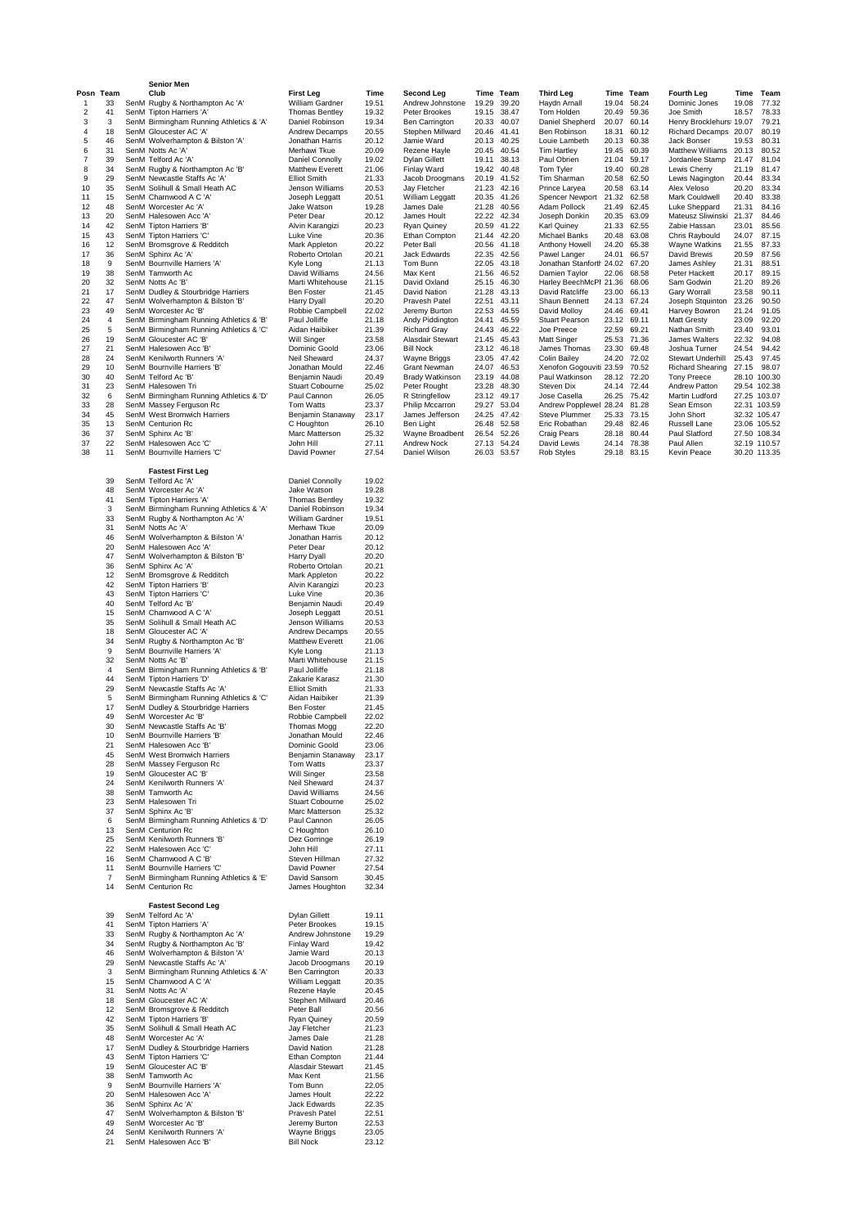|                         |                 | <b>Senior Men</b>                                                                  |                                          |                |                                        |                      |                      |                                                 |                |                            |                                                   |                |                              |
|-------------------------|-----------------|------------------------------------------------------------------------------------|------------------------------------------|----------------|----------------------------------------|----------------------|----------------------|-------------------------------------------------|----------------|----------------------------|---------------------------------------------------|----------------|------------------------------|
| -1                      | Posn Team<br>33 | Club<br>SenM Rugby & Northampton Ac 'A'                                            | <b>First Leg</b><br>William Gardner      | Time<br>19.51  | <b>Second Leg</b><br>Andrew Johnstone  | 19.29                | Time Team<br>39.20   | <b>Third Leg</b><br>Haydn Arnall                | 19.04          | Time Team<br>58.24         | <b>Fourth Leg</b><br>Dominic Jones                | 19.08          | Time Team<br>77.32           |
| $\overline{\mathbf{c}}$ | 41              | SenM Tipton Harriers 'A'                                                           | <b>Thomas Bentley</b>                    | 19.32          | Peter Brookes                          | 19.15                | 38.47                | Tom Holden                                      | 20.49          | 59.36                      | Joe Smith                                         | 18.57          | 78.33                        |
| 3<br>4                  | 3<br>18         | SenM Birmingham Running Athletics & 'A'<br>SenM Gloucester AC 'A'                  | Daniel Robinson<br><b>Andrew Decamps</b> | 19.34<br>20.55 | Ben Carrington<br>Stephen Millward     | 20.33<br>20.46 41.41 | 40.07                | Daniel Shepherd<br>Ben Robinson                 | 20.07<br>18.31 | 60.14<br>60.12             | Henry Brocklehurs: 19.07<br>Richard Decamps 20.07 |                | 79.21<br>80.19               |
| 5                       | 46              | SenM Wolverhampton & Bilston 'A'                                                   | Jonathan Harris                          | 20.12          | Jamie Ward                             |                      | 20.13 40.25          | Louie Lambeth                                   | 20.13          | 60.38                      | Jack Bonser                                       | 19.53          | 80.31                        |
| 6<br>7                  | 31<br>39        | SenM Notts Ac 'A'<br>SenM Telford Ac 'A'                                           | Merhawi Tkue<br>Daniel Connolly          | 20.09<br>19.02 | Rezene Hayle<br>Dylan Gillett          | 20.45                | 40.54<br>19.11 38.13 | <b>Tim Hartley</b><br>Paul Obrien               | 19.45<br>21.04 | 60.39<br>59.17             | Matthew Williams 20.13<br>Jordanlee Stamp         | 21.47          | 80.52<br>81.04               |
| 8                       | 34              | SenM Rugby & Northampton Ac 'B'                                                    | <b>Matthew Everett</b>                   | 21.06          | Finlay Ward                            | 19.42                | 40.48                | Tom Tyler                                       | 19.40          | 60.28                      | Lewis Cherry                                      | 21.19          | 81.47                        |
| 9<br>10                 | 29<br>35        | SenM Newcastle Staffs Ac 'A'<br>SenM Solihull & Small Heath AC                     | <b>Elliot Smith</b><br>Jenson Williams   | 21.33<br>20.53 | Jacob Droogmans<br>Jay Fletcher        | 20.19                | 41.52<br>21.23 42.16 | Tim Sharman<br>Prince Laryea                    | 20.58<br>20.58 | 62.50<br>63.14             | Lewis Nagington<br>Alex Veloso                    | 20.44<br>20.20 | 83.34<br>83.34               |
| 11                      | 15              | SenM Charnwood A C 'A'                                                             | Joseph Leggatt                           | 20.51          | William Leggatt                        |                      | 20.35 41.26          | Spencer Newport                                 | 21.32          | 62.58                      | Mark Couldwell                                    | 20.40          | 83.38                        |
| 12<br>13                | 48<br>20        | SenM Worcester Ac 'A'<br>SenM Halesowen Acc 'A'                                    | Jake Watson<br>Peter Dear                | 19.28<br>20.12 | James Dale<br>James Hoult              | 22.22                | 21.28 40.56<br>42.34 | Adam Pollock<br>Joseph Donkin                   | 21.49<br>20.35 | 62.45<br>63.09             | Luke Sheppard<br>Mateusz Sliwinski 21.37          | 21.31          | 84.16<br>84.46               |
| 14                      | 42              | SenM Tipton Harriers 'B'                                                           | Alvin Karangizi                          | 20.23          | Ryan Quiney                            |                      | 20.59 41.22          | Karl Quiney                                     | 21.33          | 62.55                      | Zabie Hassan                                      | 23.01          | 85.56                        |
| 15<br>16                | 43<br>12        | SenM Tipton Harriers 'C'<br>SenM Bromsgrove & Redditch                             | Luke Vine<br>Mark Appleton               | 20.36<br>20.22 | Ethan Compton<br>Peter Ball            | 21.44<br>20.56       | 42.20<br>41.18       | Michael Banks<br>Anthony Howell                 | 20.48<br>24.20 | 63.08<br>65.38             | Chris Raybould<br>Wayne Watkins                   | 24.07<br>21.55 | 87.15<br>87.33               |
| 17                      | 36              | SenM Sphinx Ac 'A'                                                                 | Roberto Ortolan                          | 20.21          | Jack Edwards                           |                      | 22.35 42.56          | Pawel Langer                                    | 24.01          | 66.57                      | David Brewis                                      | 20.59          | 87.56                        |
| 18<br>19                | 9<br>38         | SenM Bournville Harriers 'A'<br>SenM Tamworth Ac                                   | Kyle Long<br>David Williams              | 21.13<br>24.56 | Tom Bunn<br>Max Kent                   | 22.05<br>21.56       | 43.18<br>46.52       | Jonathan Stanforth 24.02 67.20<br>Damien Taylor | 22.06          | 68.58                      | James Ashley<br>Peter Hackett                     | 21.31<br>20.17 | 88.51<br>89.15               |
| 20                      | 32              | SenM Notts Ac 'B'                                                                  | Marti Whitehouse                         | 21.15          | David Oxland                           | 25.15                | 46.30                | Harley BeechMcPl 21.36                          |                | 68.06                      | Sam Godwin                                        | 21.20          | 89.26                        |
| 21<br>22                | 17<br>47        | SenM Dudley & Stourbridge Harriers<br>SenM Wolverhampton & Bilston 'B'             | Ben Foster<br>Harry Dyall                | 21.45<br>20.20 | David Nation<br>Pravesh Patel          | 21.28<br>22.51       | 43.13<br>43.11       | David Ratcliffe<br>Shaun Bennett                | 23.00<br>24.13 | 66.13<br>67.24             | Gary Worrall<br>Joseph Stquinton 23.26            | 23.58          | 90.11<br>90.50               |
| 23                      | 49              | SenM Worcester Ac 'B'                                                              | Robbie Campbell                          | 22.02          | Jeremy Burton                          | 22.53                | 44.55                | David Molloy                                    | 24.46          | 69.41                      | Harvey Bowron                                     | 21.24          | 91.05                        |
| 24<br>25                | 4<br>5          | SenM Birmingham Running Athletics & 'B'<br>SenM Birmingham Running Athletics & 'C' | Paul Jolliffe<br>Aidan Haibiker          | 21.18<br>21.39 | Andy Piddington<br><b>Richard Gray</b> | 24.41                | 45.59<br>24.43 46.22 | Stuart Pearson<br>Joe Preece                    | 22.59          | 23.12 69.11<br>69.21       | <b>Matt Gresty</b><br>Nathan Smith                | 23.09<br>23.40 | 92.20<br>93.01               |
| 26                      | 19              | SenM Gloucester AC 'B'                                                             | Will Singer                              | 23.58          | Alasdair Stewart                       |                      | 21.45 45.43          | Matt Singer                                     |                | 25.53 71.36                | James Walters                                     | 22.32          | 94.08                        |
| 27<br>28                | 21<br>24        | SenM Halesowen Acc 'B'<br>SenM Kenilworth Runners 'A'                              | Dominic Goold<br>Neil Sheward            | 23.06<br>24.37 | <b>Bill Nock</b><br>Wayne Briggs       | 23.12<br>23.05       | 46.18<br>47.42       | James Thomas<br><b>Colin Bailey</b>             | 23.30<br>24.20 | 69.48<br>72.02             | Joshua Turner<br>Stewart Underhill                | 24.54<br>25.43 | 94.42<br>97.45               |
| 29                      | 10              | SenM Bournville Harriers 'B'                                                       | Jonathan Mould                           | 22.46          | Grant Newman                           | 24.07                | 46.53                | Xenofon Gogouviti 23.59                         |                | 70.52                      | <b>Richard Shearing</b>                           | 27.15          | 98.07                        |
| 30<br>31                | 40<br>23        | SenM Telford Ac 'B'<br>SenM Halesowen Tri                                          | Benjamin Naudi<br><b>Stuart Cobourne</b> | 20.49<br>25.02 | <b>Brady Watkinson</b><br>Peter Rought | 23.19<br>23.28       | 44.08<br>48.30       | Paul Watkinson<br>Steven Dix                    |                | 28.12 72.20<br>24.14 72.44 | <b>Tony Preece</b><br>Andrew Patton               |                | 28.10 100.30<br>29.54 102.38 |
| 32                      | 6               | SenM Birmingham Running Athletics & 'D'                                            | Paul Cannon                              | 26.05          | R Stringfellow                         |                      | 23.12 49.17          | Jose Casella                                    |                | 26.25 75.42                | Martin Ludford                                    |                | 27.25 103.07                 |
| 33<br>34                | 28<br>45        | SenM Massey Ferguson Rc<br>SenM West Bromwich Harriers                             | Tom Watts<br>Benjamin Stanaway           | 23.37<br>23.17 | Philip Mccarron<br>James Jefferson     | 24.25                | 29.27 53.04<br>47.42 | Andrew Popplewell 28.24<br>Steve Plummer        | 25.33          | 81.28<br>73.15             | Sean Emson<br>John Short                          |                | 22.31 103.59<br>32.32 105.47 |
| 35                      | 13              | SenM Centurion Rc                                                                  | C Houghton                               | 26.10          | Ben Light                              |                      | 26.48 52.58          | Eric Robathan                                   | 29.48          | 82.46                      | Russell Lane                                      |                | 23.06 105.52                 |
| 36<br>37                | 37<br>22        | SenM Sphinx Ac 'B'<br>SenM Halesowen Acc 'C'                                       | Marc Matterson<br>John Hill              | 25.32<br>27.11 | Wayne Broadbent<br>Andrew Nock         | 26.54                | 52.26<br>27.13 54.24 | Craig Pears<br>David Lewis                      | 28.18<br>24.14 | 80.44<br>78.38             | Paul Slatford<br>Paul Allen                       |                | 27.50 108.34<br>32.19 110.57 |
| 38                      | 11              | SenM Bournville Harriers 'C'                                                       | David Powner                             | 27.54          | Daniel Wilson                          |                      | 26.03 53.57          | Rob Styles                                      |                | 29.18 83.15                | Kevin Peace                                       |                | 30.20 113.35                 |
|                         |                 | Fastest First Leg                                                                  |                                          |                |                                        |                      |                      |                                                 |                |                            |                                                   |                |                              |
|                         | 39              | SenM Telford Ac 'A'                                                                | Daniel Connolly                          | 19.02          |                                        |                      |                      |                                                 |                |                            |                                                   |                |                              |
|                         | 48<br>41        | SenM Worcester Ac 'A'<br>SenM Tipton Harriers 'A'                                  | Jake Watson<br><b>Thomas Bentley</b>     | 19.28<br>19.32 |                                        |                      |                      |                                                 |                |                            |                                                   |                |                              |
|                         | 3               | SenM Birmingham Running Athletics & 'A'                                            | Daniel Robinson                          | 19.34          |                                        |                      |                      |                                                 |                |                            |                                                   |                |                              |
|                         | 33<br>31        | SenM Rugby & Northampton Ac 'A'<br>SenM Notts Ac 'A'                               | William Gardner<br>Merhawi Tkue          | 19.51<br>20.09 |                                        |                      |                      |                                                 |                |                            |                                                   |                |                              |
|                         | 46              | SenM Wolverhampton & Bilston 'A'                                                   | Jonathan Harris                          | 20.12          |                                        |                      |                      |                                                 |                |                            |                                                   |                |                              |
|                         | 20<br>47        | SenM Halesowen Acc 'A'<br>SenM Wolverhampton & Bilston 'B'                         | Peter Dear<br>Harry Dyall                | 20.12<br>20.20 |                                        |                      |                      |                                                 |                |                            |                                                   |                |                              |
|                         | 36              | SenM Sphinx Ac 'A'                                                                 | Roberto Ortolan                          | 20.21          |                                        |                      |                      |                                                 |                |                            |                                                   |                |                              |
|                         | 12<br>42        | SenM Bromsgrove & Redditch<br>SenM Tipton Harriers 'B'                             | Mark Appleton<br>Alvin Karangizi         | 20.22<br>20.23 |                                        |                      |                      |                                                 |                |                            |                                                   |                |                              |
|                         | 43              | SenM Tipton Harriers 'C'                                                           | Luke Vine                                | 20.36          |                                        |                      |                      |                                                 |                |                            |                                                   |                |                              |
|                         | 40<br>15        | SenM Telford Ac 'B'<br>SenM Charnwood A C 'A'                                      | Benjamin Naudi<br>Joseph Leggatt         | 20.49<br>20.51 |                                        |                      |                      |                                                 |                |                            |                                                   |                |                              |
|                         | 35              | SenM Solihull & Small Heath AC                                                     | Jenson Williams                          | 20.53          |                                        |                      |                      |                                                 |                |                            |                                                   |                |                              |
|                         | 18<br>34        | SenM Gloucester AC 'A'<br>SenM Rugby & Northampton Ac 'B'                          | Andrew Decamps<br>Matthew Everett        | 20.55<br>21.06 |                                        |                      |                      |                                                 |                |                            |                                                   |                |                              |
|                         | 9               | SenM Bournville Harriers 'A'                                                       | Kyle Long                                | 21.13          |                                        |                      |                      |                                                 |                |                            |                                                   |                |                              |
|                         | 32<br>4         | SenM Notts Ac 'B'<br>SenM Birmingham Running Athletics & 'B'                       | Marti Whitehouse<br>Paul Jolliffe        | 21.15<br>21.18 |                                        |                      |                      |                                                 |                |                            |                                                   |                |                              |
|                         | 44              | SenM Tipton Harriers 'D'                                                           | Zakarie Karasz                           | 21.30          |                                        |                      |                      |                                                 |                |                            |                                                   |                |                              |
|                         | 29<br>5         | SenM Newcastle Staffs Ac 'A'<br>SenM Birmingham Running Athletics & 'C'            | <b>Elliot Smith</b><br>Aidan Haibiker    | 21.33<br>21.39 |                                        |                      |                      |                                                 |                |                            |                                                   |                |                              |
|                         | 17              | SenM Dudley & Stourbridge Harriers                                                 | <b>Ben Foster</b>                        | 21.45          |                                        |                      |                      |                                                 |                |                            |                                                   |                |                              |
|                         | 49<br>30        | SenM Worcester Ac 'B'<br>SenM Newcastle Staffs Ac 'B'                              | Robbie Campbell<br>Thomas Mogg           | 22.02<br>22.20 |                                        |                      |                      |                                                 |                |                            |                                                   |                |                              |
|                         | 10<br>21        | SenM Bournville Harriers 'B'<br>SenM Halesowen Acc 'B'                             | Jonathan Mould<br>Dominic Goold          | 22.46<br>23.06 |                                        |                      |                      |                                                 |                |                            |                                                   |                |                              |
|                         | 45              | SenM West Bromwich Harriers                                                        | Benjamin Stanaway                        | 23.17          |                                        |                      |                      |                                                 |                |                            |                                                   |                |                              |
|                         | 28<br>19        | SenM Massey Ferguson Rc<br>SenM Gloucester AC 'B'                                  | Tom Watts<br>Will Singer                 | 23.37<br>23.58 |                                        |                      |                      |                                                 |                |                            |                                                   |                |                              |
|                         | 24              | SenM Kenilworth Runners 'A'                                                        | Neil Sheward                             | 24.37          |                                        |                      |                      |                                                 |                |                            |                                                   |                |                              |
|                         | 38              | SenM Tamworth Ac                                                                   | David Williams                           | 24.56          |                                        |                      |                      |                                                 |                |                            |                                                   |                |                              |
|                         | 23<br>37        | SenM Halesowen Tri<br>SenM Sphinx Ac 'B'                                           | <b>Stuart Cobourne</b><br>Marc Matterson | 25.02<br>25.32 |                                        |                      |                      |                                                 |                |                            |                                                   |                |                              |
|                         | 6<br>13         | SenM Birmingham Running Athletics & 'D'<br>SenM Centurion Rc                       | Paul Cannon<br>C Houghton                | 26.05<br>26.10 |                                        |                      |                      |                                                 |                |                            |                                                   |                |                              |
|                         | 25              | SenM Kenilworth Runners 'B'                                                        | Dez Gorringe                             | 26.19          |                                        |                      |                      |                                                 |                |                            |                                                   |                |                              |
|                         | 22<br>16        | SenM Halesowen Acc 'C'<br>SenM Charnwood A C 'B'                                   | John Hill<br>Steven Hillman              | 27.11<br>27.32 |                                        |                      |                      |                                                 |                |                            |                                                   |                |                              |
|                         | 11              | SenM Bournville Harriers 'C'                                                       | David Powner                             | 27.54          |                                        |                      |                      |                                                 |                |                            |                                                   |                |                              |
|                         | 7<br>14         | SenM Birmingham Running Athletics & 'E'<br>SenM Centurion Rc                       | David Sansom<br>James Houghton           | 30.45<br>32.34 |                                        |                      |                      |                                                 |                |                            |                                                   |                |                              |
|                         |                 |                                                                                    |                                          |                |                                        |                      |                      |                                                 |                |                            |                                                   |                |                              |
|                         | 39              | <b>Fastest Second Leg</b><br>SenM Telford Ac 'A'                                   | <b>Dylan Gillett</b>                     | 19.11          |                                        |                      |                      |                                                 |                |                            |                                                   |                |                              |
|                         | 41              | SenM Tipton Harriers 'A'                                                           | Peter Brookes                            | 19.15          |                                        |                      |                      |                                                 |                |                            |                                                   |                |                              |
|                         | 33<br>34        | SenM Rugby & Northampton Ac 'A'<br>SenM Rugby & Northampton Ac 'B'                 | Andrew Johnstone<br>Finlay Ward          | 19.29<br>19.42 |                                        |                      |                      |                                                 |                |                            |                                                   |                |                              |
|                         | 46<br>29        | SenM Wolverhampton & Bilston 'A'                                                   | Jamie Ward                               | 20.13          |                                        |                      |                      |                                                 |                |                            |                                                   |                |                              |
|                         | 3               | SenM Newcastle Staffs Ac 'A'<br>SenM Birmingham Running Athletics & 'A'            | Jacob Droogmans<br>Ben Carrington        | 20.19<br>20.33 |                                        |                      |                      |                                                 |                |                            |                                                   |                |                              |
|                         | 15              | SenM Charnwood A C 'A'<br>SenM Notts Ac 'A'                                        | William Leggatt                          | 20.35          |                                        |                      |                      |                                                 |                |                            |                                                   |                |                              |
|                         | 31<br>18        | SenM Gloucester AC 'A'                                                             | Rezene Hayle<br>Stephen Millward         | 20.45<br>20.46 |                                        |                      |                      |                                                 |                |                            |                                                   |                |                              |
|                         | 12              | SenM Bromsgrove & Redditch                                                         | Peter Ball                               | 20.56          |                                        |                      |                      |                                                 |                |                            |                                                   |                |                              |
|                         | 42<br>35        | SenM Tipton Harriers 'B'<br>SenM Solihull & Small Heath AC                         | Ryan Quiney<br>Jay Fletcher              | 20.59<br>21.23 |                                        |                      |                      |                                                 |                |                            |                                                   |                |                              |
|                         | 48<br>17        | SenM Worcester Ac 'A'<br>SenM Dudley & Stourbridge Harriers                        | James Dale<br>David Nation               | 21.28          |                                        |                      |                      |                                                 |                |                            |                                                   |                |                              |
|                         | 43              | SenM Tipton Harriers 'C'                                                           | Ethan Compton                            | 21.28<br>21.44 |                                        |                      |                      |                                                 |                |                            |                                                   |                |                              |
|                         | 19<br>38        | SenM Gloucester AC 'B'<br>SenM Tamworth Ac                                         | Alasdair Stewart<br>Max Kent             | 21.45<br>21.56 |                                        |                      |                      |                                                 |                |                            |                                                   |                |                              |
|                         | 9               | SenM Bournville Harriers 'A'                                                       | Tom Bunn                                 | 22.05          |                                        |                      |                      |                                                 |                |                            |                                                   |                |                              |
|                         | 20<br>36        | SenM Halesowen Acc 'A'<br>SenM Sphinx Ac 'A'                                       | James Hoult<br>Jack Edwards              | 22.22<br>22.35 |                                        |                      |                      |                                                 |                |                            |                                                   |                |                              |
|                         | 47              | SenM Wolverhampton & Bilston 'B'                                                   | Pravesh Patel                            | 22.51          |                                        |                      |                      |                                                 |                |                            |                                                   |                |                              |
|                         | 49<br>24        | SenM Worcester Ac 'B'<br>SenM Kenilworth Runners 'A'                               | Jeremy Burton<br>Wayne Briggs            | 22.53<br>23.05 |                                        |                      |                      |                                                 |                |                            |                                                   |                |                              |
|                         | 21              | SenM Halesowen Acc 'B'                                                             | <b>Bill Nock</b>                         | 23.12          |                                        |                      |                      |                                                 |                |                            |                                                   |                |                              |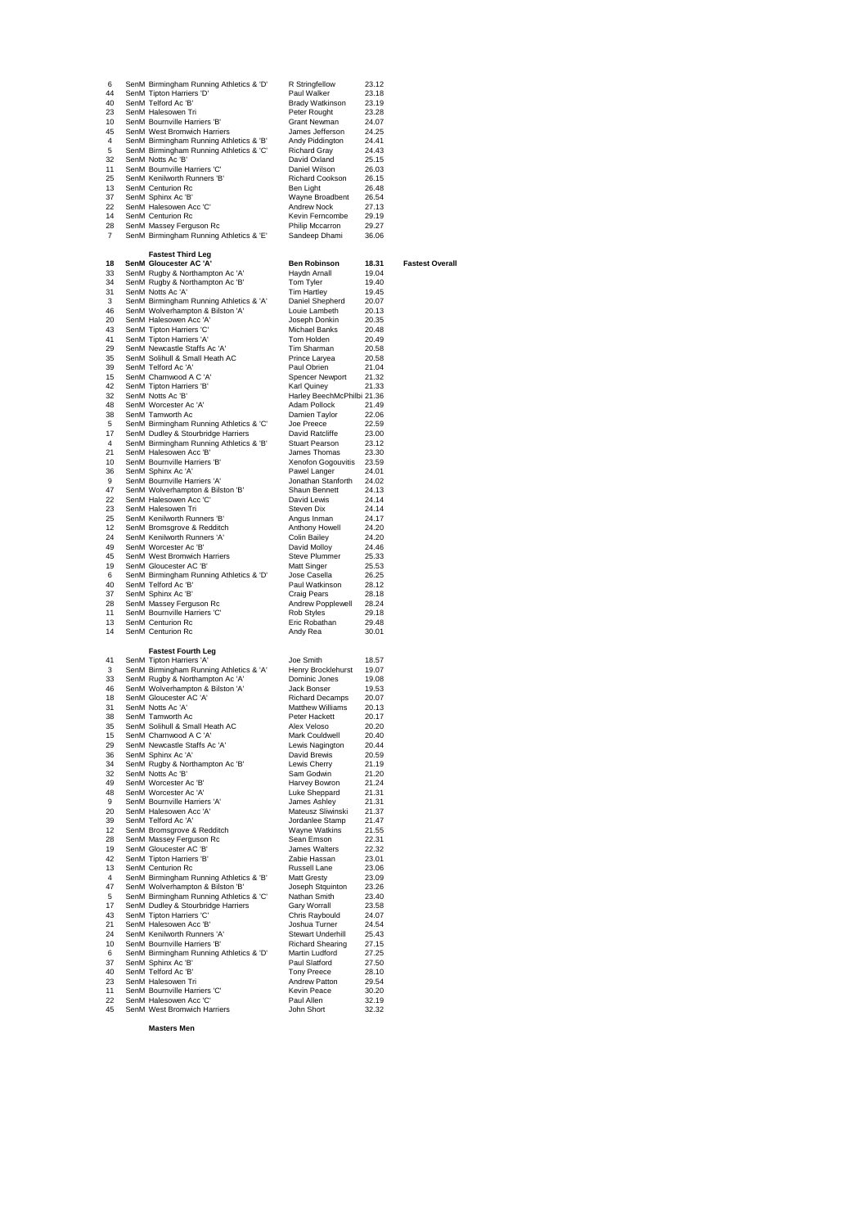| 6  | SenM Birmingham Running Athletics & 'D' | R Stringfellow             | 23.12   |                        |
|----|-----------------------------------------|----------------------------|---------|------------------------|
| 44 | SenM Tipton Harriers 'D'                | Paul Walker                | 23.18   |                        |
| 40 |                                         | Brady Watkinson            | 23.19   |                        |
|    | SenM Telford Ac 'B'                     |                            |         |                        |
| 23 | SenM Halesowen Tri                      | Peter Rought               | 23.28   |                        |
| 10 | SenM Bournville Harriers 'B'            | Grant Newman               | 24.07   |                        |
| 45 | SenM West Bromwich Harriers             | James Jefferson            | 24.25   |                        |
| 4  | SenM Birmingham Running Athletics & 'B' | Andy Piddington            | 24.41   |                        |
| 5  | SenM Birmingham Running Athletics & 'C' | <b>Richard Gray</b>        | 24.43   |                        |
| 32 | SenM Notts Ac 'B'                       | David Oxland               | 25.15   |                        |
| 11 | SenM Bournville Harriers 'C'            | Daniel Wilson              | 26.03   |                        |
| 25 | SenM Kenilworth Runners 'B'             | Richard Cookson            | 26.15   |                        |
| 13 | SenM Centurion Rc                       | Ben Light                  | 26.48   |                        |
| 37 | SenM Sphinx Ac 'B'                      | Wayne Broadbent            | 26.54   |                        |
| 22 | SenM Halesowen Acc 'C'                  | Andrew Nock                | 27.13   |                        |
| 14 | SenM Centurion Rc                       | Kevin Ferncombe            | 29.19   |                        |
| 28 | SenM Massey Ferguson Rc                 | Philip Mccarron            | 29.27   |                        |
| 7  | SenM Birmingham Running Athletics & 'E' | Sandeep Dhami              | 36.06   |                        |
|    |                                         |                            |         |                        |
|    | <b>Fastest Third Leg</b>                |                            |         |                        |
| 18 | SenM Gloucester AC 'A'                  | <b>Ben Robinson</b>        | 18.31   | <b>Fastest Overall</b> |
| 33 | SenM Rugby & Northampton Ac 'A'         | Haydn Arnall               | 19.04   |                        |
| 34 | SenM Rugby & Northampton Ac 'B'         | Tom Tyler                  | 19.40   |                        |
| 31 | SenM Notts Ac 'A'                       | Tim Hartley                | 19.45   |                        |
| 3  | SenM Birmingham Running Athletics & 'A' | Daniel Shepherd            | 20.07   |                        |
| 46 | SenM Wolverhampton & Bilston 'A'        | Louie Lambeth              | 20.13   |                        |
| 20 | SenM Halesowen Acc 'A'                  | Joseph Donkin              | 20.35   |                        |
| 43 | SenM Tipton Harriers 'C'                | Michael Banks              | 20.48   |                        |
| 41 | SenM Tipton Harriers 'A'                | Tom Holden                 | 20.49   |                        |
| 29 | SenM Newcastle Staffs Ac 'A'            | Tim Sharman                | 20.58   |                        |
| 35 | SenM Solihull & Small Heath AC          | Prince Laryea              | 20.58   |                        |
| 39 | SenM Telford Ac 'A'                     | Paul Obrien                | 21.04   |                        |
| 15 | SenM Charnwood A C 'A'                  | <b>Spencer Newport</b>     | 21.32   |                        |
| 42 | SenM Tipton Harriers 'B'                | <b>Karl Quiney</b>         | 21.33   |                        |
| 32 | SenM Notts Ac 'B'                       | Harley BeechMcPhilbi 21.36 |         |                        |
| 48 | SenM Worcester Ac 'A'                   | Adam Pollock               | 21.49   |                        |
| 38 | SenM Tamworth Ac                        | Damien Taylor              | 22.06   |                        |
| 5  | SenM Birmingham Running Athletics & 'C' | Joe Preece                 | 22.59   |                        |
| 17 | SenM Dudley & Stourbridge Harriers      | David Ratcliffe            | 23.00   |                        |
| 4  | SenM Birmingham Running Athletics & 'B' | Stuart Pearson             | 23.12   |                        |
| 21 | SenM Halesowen Acc 'B'                  | James Thomas               | 23.30   |                        |
| 10 | SenM Bournville Harriers 'B'            | Xenofon Gogouvitis         | - 23.59 |                        |
| 36 | SenM Sphinx Ac 'A'                      | Pawel Langer               | 24.01   |                        |
| 9  | SenM Bournville Harriers 'A'            | Jonathan Stanforth         | 24.02   |                        |
| 47 | SenM Wolverhampton & Bilston 'B'        | Shaun Bennett              | 24.13   |                        |
| 22 | SenM Halesowen Acc 'C'                  | David Lewis                | 24.14   |                        |
| 23 | SenM Halesowen Tri                      | Steven Dix                 | 24.14   |                        |
| 25 | SenM Kenilworth Runners 'B'             | Angus Inman                | 24.17   |                        |
| 12 | SenM Bromsgrove & Redditch              | Anthony Howell             | 24.20   |                        |
| 24 | SenM Kenilworth Runners 'A'             | <b>Colin Bailey</b>        | 24.20   |                        |
| 49 | SenM Worcester Ac 'B'                   | David Molloy               | 24.46   |                        |
| 45 | SenM West Bromwich Harriers             | Steve Plummer              | 25.33   |                        |
| 19 | SenM Gloucester AC 'B'                  | Matt Singer                | 25.53   |                        |
| 6  | SenM Birmingham Running Athletics & 'D' | Jose Casella               | 26.25   |                        |
| 40 | SenM Telford Ac 'B'                     | Paul Watkinson             | 28.12   |                        |
| 37 | SenM Sphinx Ac 'B'                      | Craig Pears                | 28.18   |                        |
| 28 | SenM Massey Ferguson Rc                 | Andrew Popplewell          | 28.24   |                        |
| 11 | SenM Bournville Harriers 'C'            | Rob Styles                 | 29.18   |                        |
| 13 | SenM Centurion Rc                       | Eric Robathan              | 29.48   |                        |
| 14 | SenM Centurion Rc                       | Andy Rea                   | 30.01   |                        |
|    |                                         |                            |         |                        |
|    | <b>Fastest Fourth Leg</b>               |                            |         |                        |
| 41 | SenM Tipton Harriers 'A'                | Joe Smith                  | 18.57   |                        |
| 3  | SenM Birmingham Running Athletics & 'A' | Henry Brocklehurst         | 19.07   |                        |
| 33 | SenM Rugby & Northampton Ac 'A'         | Dominic Jones              | 19.08   |                        |
| 46 | SenM Wolverhampton & Bilston 'A'        | Jack Bonser                | 19.53   |                        |
| 18 | SenM Gloucester AC 'A'                  | <b>Richard Decamps</b>     | 20.07   |                        |
| 31 | SenM Notts Ac 'A'                       | <b>Matthew Williams</b>    | 20.13   |                        |
| 38 | SenM Tamworth Ac                        | Peter Hackett              | 20.17   |                        |
| 35 | SenM Solihull & Small Heath AC          | Alex Veloso                | 20.20   |                        |
| 15 | SenM Charnwood A C 'A'                  | Mark Couldwell             | 20.40   |                        |
| 29 | SenM Newcastle Staffs Ac 'A'            | Lewis Nagington            | 20.44   |                        |
| 36 | SenM Sphinx Ac 'A'                      | David Brewis               | 20.59   |                        |
| 34 | SenM Rugby & Northampton Ac 'B'         | Lewis Cherry               | 21.19   |                        |
| 32 | SenM Notts Ac 'B'                       | Sam Godwin                 | 21.20   |                        |
| 49 | SenM Worcester Ac 'B'                   | Harvey Bowron              | 21.24   |                        |
| 48 | SenM Worcester Ac 'A'                   | Luke Sheppard              | 21.31   |                        |
| 9  | SenM Bournville Harriers 'A'            | James Ashley               | 21.31   |                        |
| 20 | SenM Halesowen Acc 'A'                  | Mateusz Sliwinski          | 21.37   |                        |
| 39 | SenM Telford Ac 'A'                     | Jordanlee Stamp            | 21.47   |                        |
| 12 | SenM Bromsgrove & Redditch              | Wayne Watkins              | 21.55   |                        |
| 28 | SenM Massey Ferguson Rc                 | Sean Emson                 | 22.31   |                        |
| 19 | SenM Gloucester AC 'B'                  | James Walters              | 22.32   |                        |
| 42 | SenM Tipton Harriers 'B'                | Zabie Hassan               | 23.01   |                        |
| 13 | SenM Centurion Rc                       | Russell Lane               | 23.06   |                        |
| 4  | SenM Birmingham Running Athletics & 'B' | <b>Matt Gresty</b>         | 23.09   |                        |
| 47 | SenM Wolverhampton & Bilston 'B'        | Joseph Stquinton           | 23.26   |                        |
| 5  | SenM Birmingham Running Athletics & 'C' | Nathan Smith               | 23.40   |                        |
| 17 | SenM Dudley & Stourbridge Harriers      | Gary Worrall               | 23.58   |                        |
| 43 | SenM Tipton Harriers 'C'                | Chris Raybould             | 24.07   |                        |
| 21 | SenM Halesowen Acc 'B'                  | Joshua Turner              | 24.54   |                        |
| 24 | SenM Kenilworth Runners 'A'             | Stewart Underhill          | 25.43   |                        |
| 10 | SenM Bournville Harriers 'B'            | <b>Richard Shearing</b>    | 27.15   |                        |
| 6  | SenM Birmingham Running Athletics & 'D' | Martin Ludford             | 27.25   |                        |
| 37 | SenM Sphinx Ac 'B'                      | Paul Slatford              | 27.50   |                        |
| 40 | SenM Telford Ac 'B'                     | <b>Tony Preece</b>         | 28.10   |                        |
| 23 | SenM Halesowen Tri                      | Andrew Patton              | 29.54   |                        |
| 11 | SenM Bournville Harriers 'C'            | Kevin Peace                | 30.20   |                        |
| 22 | SenM Halesowen Acc 'C'                  | Paul Allen                 | 32.19   |                        |
| 45 | SenM West Bromwich Harriers             | John Short                 | 32.32   |                        |

**Masters Men**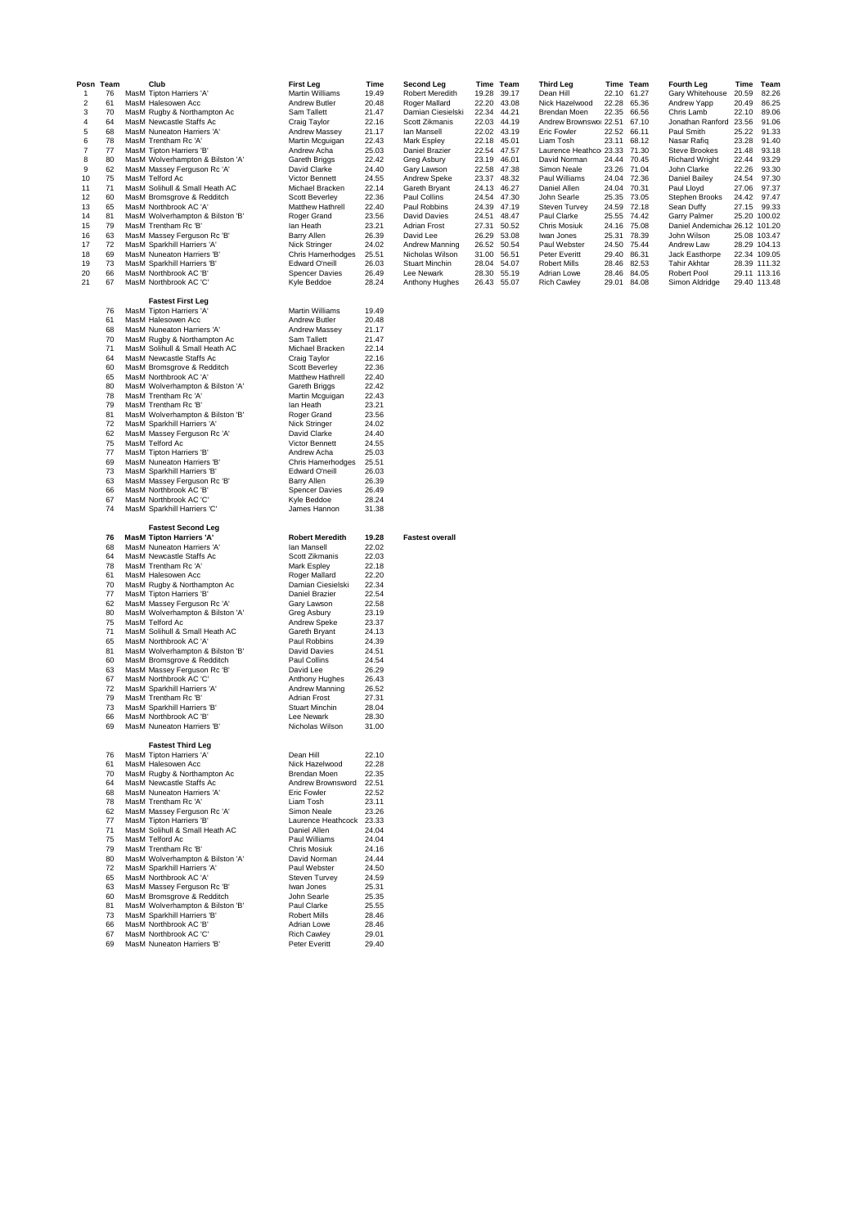| Posn           | Team     | Club                                                         | <b>First Leg</b>                      | Time           | <b>Second Leg</b>                |                      | Time Team | <b>Third Leg</b>                  |                | Time Team      | <b>Fourth Leg</b>                            | Time         | Team  |
|----------------|----------|--------------------------------------------------------------|---------------------------------------|----------------|----------------------------------|----------------------|-----------|-----------------------------------|----------------|----------------|----------------------------------------------|--------------|-------|
| $\overline{1}$ | 76       | MasM Tipton Harriers 'A'                                     | <b>Martin Williams</b>                | 19.49          | Robert Meredith                  | 19.28                | 39.17     | Dean Hill                         | 22.10          | 61.27          | Gary Whitehouse                              | 20.59        | 82.26 |
| 2              | 61       | MasM Halesowen Acc                                           | Andrew Butler                         | 20.48          | Roger Mallard                    | 22.20                | 43.08     | Nick Hazelwood                    | 22.28          | 65.36          | Andrew Yapp                                  | 20.49        | 86.25 |
| 3              | 70       | MasM Rugby & Northampton Ac                                  | Sam Tallett                           | 21.47          | Damian Ciesielski                | 22.34                | 44.21     | Brendan Moen                      | 22.35          | 66.56          | Chris Lamb                                   | 22.10        | 89.06 |
| 4              | 64       | MasM Newcastle Staffs Ac                                     | Craig Taylor                          | 22.16          | Scott Zikmanis                   | 22.03 44.19          |           | Andrew Brownswor 22.51            |                | 67.10          | Jonathan Ranford 23.56                       |              | 91.06 |
| 5              | 68       | MasM Nuneaton Harriers 'A'                                   | Andrew Massey                         | 21.17          | lan Mansell                      | 22.02 43.19          |           | Eric Fowler                       | 22.52          | 66.11          | Paul Smith                                   | 25.22        | 91.33 |
| 6              | 78       | MasM Trentham Rc 'A'                                         | Martin Mcguigan                       | 22.43          | Mark Espley                      | 22.18                | 45.01     | Liam Tosh                         | 23.11          | 68.12          | Nasar Rafiq                                  | 23.28        | 91.40 |
| 7              | 77       | MasM Tipton Harriers 'B'                                     | Andrew Acha                           | 25.03          | Daniel Brazier                   | 22.54                | 47.57     | Laurence Heathco 23.33            |                | 71.30          | <b>Steve Brookes</b>                         | 21.48        | 93.18 |
| 8              | 80       | MasM Wolverhampton & Bilston 'A'                             | Gareth Briggs                         | 22.42          | Greg Asbury                      | 23.19                | 46.01     | David Norman                      | 24.44          | 70.45          | <b>Richard Wright</b>                        | 22.44        | 93.29 |
| 9              | 62       | MasM Massey Ferguson Rc 'A'                                  | David Clarke                          | 24.40          | Gary Lawson                      | 22.58                | 47.38     | Simon Neale                       | 23.26          | 71.04          | John Clarke                                  | 22.26        | 93.30 |
| 10             | 75       | MasM Telford Ac                                              | Victor Bennett                        | 24.55          | Andrew Speke                     | 23.37                | 48.32     | Paul Williams                     | 24.04          | 72.36          | Daniel Bailey                                | 24.54        | 97.30 |
| 11             | 71       | MasM Solihull & Small Heath AC                               | Michael Bracken                       | 22.14          | Gareth Bryant                    | 24.13                | 46.27     | Daniel Allen                      | 24.04          | 70.31          | Paul Lloyd                                   | 27.06        | 97.37 |
| 12             | 60       | MasM Bromsgrove & Redditch                                   | <b>Scott Beverley</b>                 | 22.36          | Paul Collins                     | 24.54                | 47.30     | John Searle                       | 25.35          | 73.05          | Stephen Brooks                               | 24.42        | 97.47 |
| 13             | 65       | MasM Northbrook AC 'A'                                       | Matthew Hathrell                      | 22.40          | Paul Robbins                     | 24.39                | 47.19     | Steven Turvey                     | 24.59          | 72.18          | Sean Duffy                                   | 27.15        | 99.33 |
| 14             | 81<br>79 | MasM Wolverhampton & Bilston 'B'<br>MasM Trentham Rc 'B'     | Roger Grand<br>lan Heath              | 23.56<br>23.21 | <b>David Davies</b>              | 24.51<br>27.31 50.52 | 48.47     | Paul Clarke                       | 25.55          | 74.42<br>75.08 | Garry Palmer                                 | 25.20 100.02 |       |
| 15             | 63       | MasM Massey Ferguson Rc 'B'                                  | Barry Allen                           | 26.39          | <b>Adrian Frost</b><br>David Lee | 26.29 53.08          |           | <b>Chris Mosiuk</b><br>Iwan Jones | 24.16<br>25.31 | 78.39          | Daniel Andemicha 26.12 101.20<br>John Wilson | 25.08 103.47 |       |
| 16<br>17       | 72       | MasM Sparkhill Harriers 'A'                                  | Nick Stringer                         | 24.02          | Andrew Manning                   | 26.52                | 50.54     | Paul Webster                      | 24.50          | 75.44          | Andrew Law                                   | 28.29 104.13 |       |
| 18             | 69       | MasM Nuneaton Harriers 'B'                                   | Chris Hamerhodges                     | 25.51          | Nicholas Wilson                  | 31.00                | 56.51     | Peter Everitt                     | 29.40          | 86.31          | Jack Easthorpe                               | 22.34 109.05 |       |
| 19             | 73       | MasM Sparkhill Harriers 'B'                                  | Edward O'neill                        | 26.03          | Stuart Minchin                   | 28.04 54.07          |           | <b>Robert Mills</b>               | 28.46          | 82.53          | <b>Tahir Akhtar</b>                          | 28.39 111.32 |       |
| 20             | 66       | MasM Northbrook AC 'B'                                       | <b>Spencer Davies</b>                 | 26.49          | Lee Newark                       | 28.30                | 55.19     | Adrian Lowe                       | 28.46          | 84.05          | Robert Pool                                  | 29.11 113.16 |       |
| 21             | 67       | MasM Northbrook AC 'C'                                       | Kyle Beddoe                           | 28.24          | Anthony Hughes                   | 26.43 55.07          |           | <b>Rich Cawley</b>                | 29.01          | 84.08          | Simon Aldridge                               | 29.40 113.48 |       |
|                |          |                                                              |                                       |                |                                  |                      |           |                                   |                |                |                                              |              |       |
|                |          | <b>Fastest First Leg</b>                                     |                                       |                |                                  |                      |           |                                   |                |                |                                              |              |       |
|                | 76       | MasM Tipton Harriers 'A'                                     | <b>Martin Williams</b>                | 19.49          |                                  |                      |           |                                   |                |                |                                              |              |       |
|                | 61       | MasM Halesowen Acc                                           | Andrew Butler                         | 20.48          |                                  |                      |           |                                   |                |                |                                              |              |       |
|                | 68       | MasM Nuneaton Harriers 'A'                                   | Andrew Massey                         | 21.17          |                                  |                      |           |                                   |                |                |                                              |              |       |
|                | 70       | MasM Rugby & Northampton Ac                                  | Sam Tallett                           | 21.47          |                                  |                      |           |                                   |                |                |                                              |              |       |
|                | 71       | MasM Solihull & Small Heath AC                               | Michael Bracken                       | 22.14          |                                  |                      |           |                                   |                |                |                                              |              |       |
|                | 64       | MasM Newcastle Staffs Ac                                     | Craig Taylor                          | 22.16          |                                  |                      |           |                                   |                |                |                                              |              |       |
|                | 60       | MasM Bromsgrove & Redditch                                   | <b>Scott Beverley</b>                 | 22.36          |                                  |                      |           |                                   |                |                |                                              |              |       |
|                | 65       | MasM Northbrook AC 'A'                                       | Matthew Hathrell                      | 22.40          |                                  |                      |           |                                   |                |                |                                              |              |       |
|                | 80       | MasM Wolverhampton & Bilston 'A'                             | Gareth Briggs                         | 22.42          |                                  |                      |           |                                   |                |                |                                              |              |       |
|                | 78       | MasM Trentham Rc 'A'                                         | Martin Mcguigan                       | 22.43          |                                  |                      |           |                                   |                |                |                                              |              |       |
|                | 79       | MasM Trentham Rc 'B'                                         | lan Heath                             | 23.21          |                                  |                      |           |                                   |                |                |                                              |              |       |
|                | 81       | MasM Wolverhampton & Bilston 'B'                             | Roger Grand                           | 23.56          |                                  |                      |           |                                   |                |                |                                              |              |       |
|                | 72       | MasM Sparkhill Harriers 'A'                                  | Nick Stringer                         | 24.02          |                                  |                      |           |                                   |                |                |                                              |              |       |
|                | 62       | MasM Massey Ferguson Rc 'A'                                  | David Clarke<br><b>Victor Bennett</b> | 24.40          |                                  |                      |           |                                   |                |                |                                              |              |       |
|                | 75<br>77 | MasM Telford Ac<br>MasM Tipton Harriers 'B'                  | Andrew Acha                           | 24.55<br>25.03 |                                  |                      |           |                                   |                |                |                                              |              |       |
|                | 69       | MasM Nuneaton Harriers 'B'                                   | Chris Hamerhodges                     | 25.51          |                                  |                      |           |                                   |                |                |                                              |              |       |
|                | 73       | MasM Sparkhill Harriers 'B'                                  | Edward O'neill                        | 26.03          |                                  |                      |           |                                   |                |                |                                              |              |       |
|                | 63       | MasM Massey Ferguson Rc 'B'                                  | Barry Allen                           | 26.39          |                                  |                      |           |                                   |                |                |                                              |              |       |
|                | 66       | MasM Northbrook AC 'B'                                       | <b>Spencer Davies</b>                 | 26.49          |                                  |                      |           |                                   |                |                |                                              |              |       |
|                | 67       | MasM Northbrook AC 'C'                                       | Kyle Beddoe                           | 28.24          |                                  |                      |           |                                   |                |                |                                              |              |       |
|                | 74       | MasM Sparkhill Harriers 'C'                                  | James Hannon                          | 31.38          |                                  |                      |           |                                   |                |                |                                              |              |       |
|                |          |                                                              |                                       |                |                                  |                      |           |                                   |                |                |                                              |              |       |
|                |          |                                                              |                                       |                |                                  |                      |           |                                   |                |                |                                              |              |       |
|                |          |                                                              |                                       |                |                                  |                      |           |                                   |                |                |                                              |              |       |
|                | 76       | <b>Fastest Second Leg</b><br><b>MasM Tipton Harriers 'A'</b> | <b>Robert Meredith</b>                | 19.28          | <b>Fastest overall</b>           |                      |           |                                   |                |                |                                              |              |       |
|                | 68       | MasM Nuneaton Harriers 'A'                                   | lan Mansell                           | 22.02          |                                  |                      |           |                                   |                |                |                                              |              |       |
|                | 64       | MasM Newcastle Staffs Ac                                     | Scott Zikmanis                        | 22.03          |                                  |                      |           |                                   |                |                |                                              |              |       |
|                | 78       | MasM Trentham Rc 'A'                                         | Mark Espley                           | 22.18          |                                  |                      |           |                                   |                |                |                                              |              |       |
|                | 61       | MasM Halesowen Acc                                           | Roger Mallard                         | 22.20          |                                  |                      |           |                                   |                |                |                                              |              |       |
|                | 70       | MasM Rugby & Northampton Ac                                  | Damian Ciesielski                     | 22.34          |                                  |                      |           |                                   |                |                |                                              |              |       |
|                | 77       | MasM Tipton Harriers 'B'                                     | Daniel Brazier                        | 22.54          |                                  |                      |           |                                   |                |                |                                              |              |       |
|                | 62       | MasM Massey Ferguson Rc 'A'                                  | Gary Lawson                           | 22.58          |                                  |                      |           |                                   |                |                |                                              |              |       |
|                | 80       | MasM Wolverhampton & Bilston 'A'                             | Greg Asbury                           | 23.19          |                                  |                      |           |                                   |                |                |                                              |              |       |
|                | 75       | MasM Telford Ac                                              | Andrew Speke                          | 23.37          |                                  |                      |           |                                   |                |                |                                              |              |       |
|                | 71       | MasM Solihull & Small Heath AC                               | Gareth Bryant                         | 24.13          |                                  |                      |           |                                   |                |                |                                              |              |       |
|                | 65       | MasM Northbrook AC 'A'                                       | Paul Robbins                          | 24.39          |                                  |                      |           |                                   |                |                |                                              |              |       |
|                | 81       | MasM Wolverhampton & Bilston 'B'                             | <b>David Davies</b>                   | 24.51          |                                  |                      |           |                                   |                |                |                                              |              |       |
|                | 60<br>63 | MasM Bromsgrove & Redditch<br>MasM Massey Ferguson Rc 'B'    | Paul Collins<br>David Lee             | 24.54<br>26.29 |                                  |                      |           |                                   |                |                |                                              |              |       |
|                | 67       | MasM Northbrook AC 'C'                                       | Anthony Hughes                        | 26.43          |                                  |                      |           |                                   |                |                |                                              |              |       |
|                | 72       | MasM Sparkhill Harriers 'A'                                  | Andrew Manning                        | 26.52          |                                  |                      |           |                                   |                |                |                                              |              |       |
|                | 79       | MasM Trentham Rc 'B'                                         | <b>Adrian Frost</b>                   | 27.31          |                                  |                      |           |                                   |                |                |                                              |              |       |
|                | 73       | MasM Sparkhill Harriers 'B'                                  | <b>Stuart Minchin</b>                 | 28.04          |                                  |                      |           |                                   |                |                |                                              |              |       |
|                | 66       | MasM Northbrook AC 'B'                                       | Lee Newark                            | 28.30          |                                  |                      |           |                                   |                |                |                                              |              |       |
|                | 69       | MasM Nuneaton Harriers 'B'                                   | Nicholas Wilson                       | 31.00          |                                  |                      |           |                                   |                |                |                                              |              |       |
|                |          |                                                              |                                       |                |                                  |                      |           |                                   |                |                |                                              |              |       |
|                |          | <b>Fastest Third Leg</b>                                     |                                       |                |                                  |                      |           |                                   |                |                |                                              |              |       |
|                | 76       | MasM Tipton Harriers 'A'                                     | Dean Hill                             | 22.10          |                                  |                      |           |                                   |                |                |                                              |              |       |
|                | 61       | MasM Halesowen Acc                                           | Nick Hazelwood                        | 22.28          |                                  |                      |           |                                   |                |                |                                              |              |       |
|                | 70       | MasM Rugby & Northampton Ac                                  | Brendan Moen<br>Andrew Brownsword     | 22.35          |                                  |                      |           |                                   |                |                |                                              |              |       |
|                | 64<br>68 | MasM Newcastle Staffs Ac<br>MasM Nuneaton Harriers 'A'       | <b>Eric Fowler</b>                    | 22.51<br>22.52 |                                  |                      |           |                                   |                |                |                                              |              |       |
|                | 78       | MasM Trentham Rc 'A'                                         | Liam Tosh                             | 23.11          |                                  |                      |           |                                   |                |                |                                              |              |       |
|                | 62       | MasM Massey Ferguson Rc 'A'                                  | Simon Neale                           | 23.26          |                                  |                      |           |                                   |                |                |                                              |              |       |
|                | 77       | MasM Tipton Harriers 'B'                                     | Laurence Heathcock                    | 23.33          |                                  |                      |           |                                   |                |                |                                              |              |       |
|                | 71       | MasM Solihull & Small Heath AC                               | Daniel Allen                          | 24.04          |                                  |                      |           |                                   |                |                |                                              |              |       |
|                | 75       | MasM Telford Ac                                              | Paul Williams                         | 24.04          |                                  |                      |           |                                   |                |                |                                              |              |       |
|                | 79       | MasM Trentham Rc 'B'                                         | Chris Mosiuk                          | 24.16          |                                  |                      |           |                                   |                |                |                                              |              |       |
|                | 80       | MasM Wolverhampton & Bilston 'A'                             | David Norman                          | 24.44          |                                  |                      |           |                                   |                |                |                                              |              |       |
|                | 72       | MasM Sparkhill Harriers 'A'                                  | Paul Webster                          | 24.50          |                                  |                      |           |                                   |                |                |                                              |              |       |
|                | 65       | MasM Northbrook AC 'A'                                       | <b>Steven Turvey</b>                  | 24.59          |                                  |                      |           |                                   |                |                |                                              |              |       |
|                | 63       | MasM Massey Ferguson Rc 'B'                                  | Iwan Jones                            | 25.31          |                                  |                      |           |                                   |                |                |                                              |              |       |
|                | 60       | MasM Bromsgrove & Redditch                                   | John Searle                           | 25.35          |                                  |                      |           |                                   |                |                |                                              |              |       |
|                | 81       | MasM Wolverhampton & Bilston 'B'                             | Paul Clarke                           | 25.55          |                                  |                      |           |                                   |                |                |                                              |              |       |
|                | 73       | MasM Sparkhill Harriers 'B'                                  | <b>Robert Mills</b>                   | 28.46          |                                  |                      |           |                                   |                |                |                                              |              |       |
|                | 66<br>67 | MasM Northbrook AC 'B'<br>MasM Northbrook AC 'C'             | Adrian Lowe<br><b>Rich Cawley</b>     | 28.46<br>29.01 |                                  |                      |           |                                   |                |                |                                              |              |       |